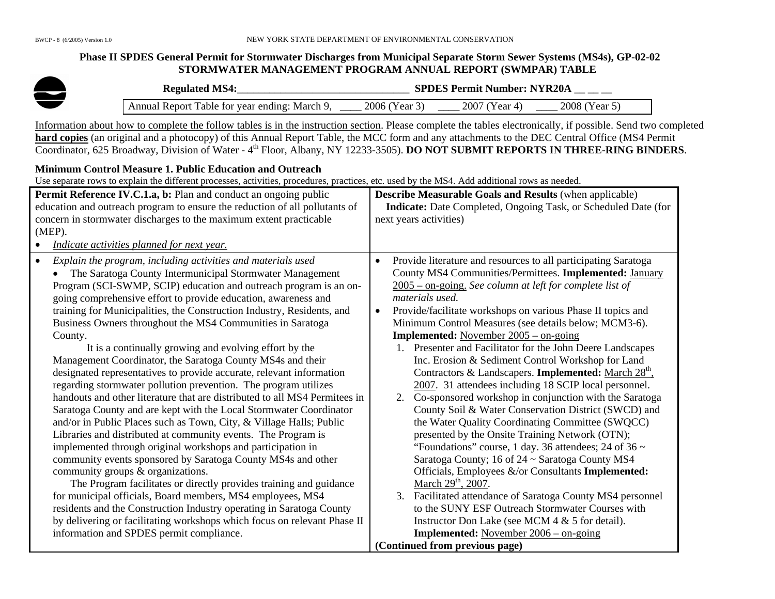#### **Phase II SPDES General Permit for Stormwater Discharges from Municipal Separate Storm Sewer Systems (MS4s), GP-02-02 STORMWATER MANAGEMENT PROGRAM ANNUAL REPORT (SWMPAR) TABLE**

| <b>Regulated MS4:</b>                         |               | <b>SPDES Permit Number: NYR20A</b> |               |
|-----------------------------------------------|---------------|------------------------------------|---------------|
| Annual Report Table for year ending: March 9, | 2006 (Year 3) | 2007 (Year 4)                      | 2008 (Year 5) |

Information about how to complete the follow tables is in the instruction section. Please complete the tables electronically, if possible. Send two completed **hard copies** (an original and a photocopy) of this Annual Report Table, the MCC form and any attachments to the DEC Central Office (MS4 Permit Coordinator, 625 Broadway, Division of Water - 4<sup>th</sup> Floor, Albany, NY 12233-3505). **DO NOT SUBMIT REPORTS IN THREE-RING BINDERS**.

#### **Minimum Control Measure 1. Public Education and Outreach**

| Permit Reference IV.C.1.a, b: Plan and conduct an ongoing public                                                                                                                                           | <b>Describe Measurable Goals and Results (when applicable)</b>                                                                                                                                       |
|------------------------------------------------------------------------------------------------------------------------------------------------------------------------------------------------------------|------------------------------------------------------------------------------------------------------------------------------------------------------------------------------------------------------|
| education and outreach program to ensure the reduction of all pollutants of                                                                                                                                | Indicate: Date Completed, Ongoing Task, or Scheduled Date (for                                                                                                                                       |
| concern in stormwater discharges to the maximum extent practicable                                                                                                                                         | next years activities)                                                                                                                                                                               |
| $(MEP)$ .                                                                                                                                                                                                  |                                                                                                                                                                                                      |
| Indicate activities planned for next year.<br>$\bullet$                                                                                                                                                    |                                                                                                                                                                                                      |
| Explain the program, including activities and materials used<br>$\bullet$<br>The Saratoga County Intermunicipal Stormwater Management<br>Program (SCI-SWMP, SCIP) education and outreach program is an on- | Provide literature and resources to all participating Saratoga<br>$\bullet$<br>County MS4 Communities/Permittees. Implemented: January<br>$2005 -$ on-going. See column at left for complete list of |
| going comprehensive effort to provide education, awareness and                                                                                                                                             | materials used.                                                                                                                                                                                      |
| training for Municipalities, the Construction Industry, Residents, and<br>Business Owners throughout the MS4 Communities in Saratoga                                                                       | Provide/facilitate workshops on various Phase II topics and<br>$\bullet$<br>Minimum Control Measures (see details below; MCM3-6).                                                                    |
| County.                                                                                                                                                                                                    | <b>Implemented:</b> November $2005 -$ on-going                                                                                                                                                       |
| It is a continually growing and evolving effort by the                                                                                                                                                     | 1. Presenter and Facilitator for the John Deere Landscapes                                                                                                                                           |
| Management Coordinator, the Saratoga County MS4s and their                                                                                                                                                 | Inc. Erosion & Sediment Control Workshop for Land                                                                                                                                                    |
| designated representatives to provide accurate, relevant information                                                                                                                                       | Contractors & Landscapers. <b>Implemented:</b> March $28th$ ,                                                                                                                                        |
| regarding stormwater pollution prevention. The program utilizes                                                                                                                                            | 2007. 31 attendees including 18 SCIP local personnel.                                                                                                                                                |
| handouts and other literature that are distributed to all MS4 Permitees in                                                                                                                                 | Co-sponsored workshop in conjunction with the Saratoga<br>2.                                                                                                                                         |
| Saratoga County and are kept with the Local Stormwater Coordinator                                                                                                                                         | County Soil & Water Conservation District (SWCD) and                                                                                                                                                 |
| and/or in Public Places such as Town, City, & Village Halls; Public<br>Libraries and distributed at community events. The Program is                                                                       | the Water Quality Coordinating Committee (SWQCC)<br>presented by the Onsite Training Network (OTN);                                                                                                  |
| implemented through original workshops and participation in                                                                                                                                                | "Foundations" course, 1 day. 36 attendees; 24 of 36 $\sim$                                                                                                                                           |
| community events sponsored by Saratoga County MS4s and other                                                                                                                                               | Saratoga County; 16 of 24 ~ Saratoga County MS4                                                                                                                                                      |
| community groups & organizations.                                                                                                                                                                          | Officials, Employees &/or Consultants Implemented:                                                                                                                                                   |
| The Program facilitates or directly provides training and guidance                                                                                                                                         | March 29 <sup>th</sup> , 2007.                                                                                                                                                                       |
| for municipal officials, Board members, MS4 employees, MS4                                                                                                                                                 | 3. Facilitated attendance of Saratoga County MS4 personnel                                                                                                                                           |
| residents and the Construction Industry operating in Saratoga County                                                                                                                                       | to the SUNY ESF Outreach Stormwater Courses with                                                                                                                                                     |
| by delivering or facilitating workshops which focus on relevant Phase II                                                                                                                                   | Instructor Don Lake (see MCM 4 & 5 for detail).                                                                                                                                                      |
| information and SPDES permit compliance.                                                                                                                                                                   | <b>Implemented:</b> November 2006 – on-going                                                                                                                                                         |
|                                                                                                                                                                                                            | (Continued from previous page)                                                                                                                                                                       |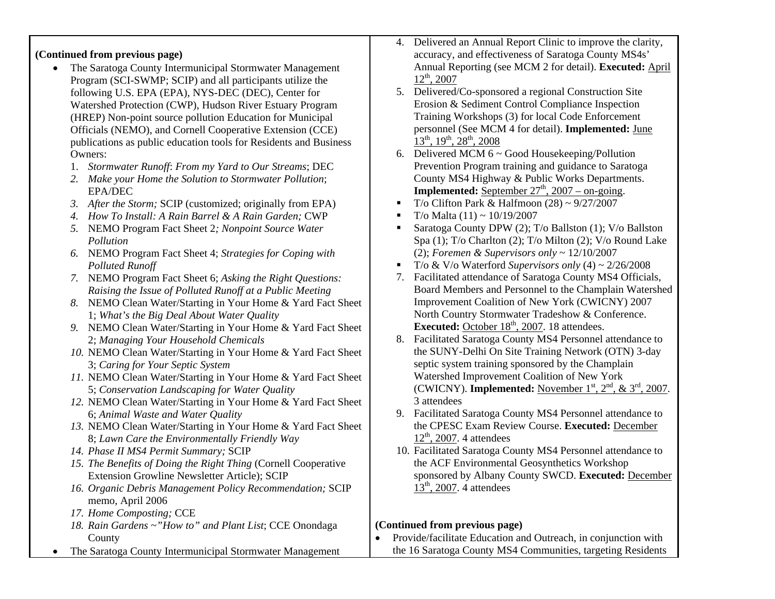### **(Continued from previous page)**

- $\bullet$  The Saratoga County Intermunicipal Stormwater Management Program (SCI-SWMP; SCIP) and all participants utilize the following U.S. EPA (EPA), NYS-DEC (DEC), Center for Watershed Protection (CWP), Hudson River Estuary Program (HREP) Non-point source pollution Education for Municipal Officials (NEMO), and Cornell Cooperative Extension (CCE) publications as public education tools for Residents and Business Owners:
	- 1. *Stormwater Runoff*: *From my Yard to Our Streams*; DEC
	- *2. Make your Home the Solution to Stormwater Pollution*; EPA/DEC
	- *3. After the Storm;* SCIP (customized; originally from EPA)
	- *4. How To Install: A Rain Barrel & A Rain Garden;* CWP
	- *5.* NEMO Program Fact Sheet 2*; Nonpoint Source Water Pollution*
	- *6.* NEMO Program Fact Sheet 4; *Strategies for Coping with Polluted Runoff*
	- *7.* NEMO Program Fact Sheet 6; *Asking the Right Questions: Raising the Issue of Polluted Runoff at a Public Meeting*
	- *8.* NEMO Clean Water/Starting in Your Home & Yard Fact Sheet 1; *What's the Big Deal About Water Quality*
	- *9.* NEMO Clean Water/Starting in Your Home & Yard Fact Sheet 2; *Managing Your Household Chemicals*
	- *10.* NEMO Clean Water/Starting in Your Home & Yard Fact Sheet 3; *Caring for Your Septic System*
	- *11.* NEMO Clean Water/Starting in Your Home & Yard Fact Sheet 5; *Conservation Landscaping for Water Quality*
	- *12.* NEMO Clean Water/Starting in Your Home & Yard Fact Sheet 6; *Animal Waste and Water Quality*
	- *13.* NEMO Clean Water/Starting in Your Home & Yard Fact Sheet 8; *Lawn Care the Environmentally Friendly Way*
	- *14. Phase II MS4 Permit Summary;* SCIP
	- *15. The Benefits of Doing the Right Thing* (Cornell Cooperative Extension Growline Newsletter Article); SCIP
	- *16. Organic Debris Management Policy Recommendation;* SCIP memo, April 2006
	- *17. Home Composting;* CCE
	- *18. Rain Gardens ~"How to" and Plant List*; CCE Onondaga County
- •The Saratoga County Intermunicipal Stormwater Management
- 4. Delivered an Annual Report Clinic to improve the clarity, accuracy, and effectiveness of Saratoga County MS4s' Annual Reporting (see MCM 2 for detail). **Executed:** April  $12^{th}$ , 2007
- 5. Delivered/Co-sponsored a regional Construction Site Erosion & Sediment Control Compliance Inspection Training Workshops (3) for local Code Enforcement personnel (See MCM 4 for detail). **Implemented:** June  $13^{th}$ , 19<sup>th</sup>, 28<sup>th</sup>, 2008
- 6. Delivered MCM 6 ~ Good Housekeeping/Pollution Prevention Program training and guidance to Saratoga County MS4 Highway & Public Works Departments. **Implemented:** September  $27<sup>th</sup>$ ,  $2007 - on$ -going.
- Г T/o Clifton Park & Halfmoon  $(28) \sim 9/27/2007$
- н T/o Malta  $(11) \sim 10/19/2007$
- н Saratoga County DPW (2); T/o Ballston (1); V/o Ballston Spa (1); T/o Charlton (2); T/o Milton (2); V/o Round Lake (2); *Foremen & Supervisors only* ~ 12/10/2007
- $\blacksquare$ T/o  $&$  V/o Waterford *Supervisors only* (4)  $\sim$  2/26/2008
- 7. Facilitated attendance of Saratoga County MS4 Officials, Board Members and Personnel to the Champlain Watershed Improvement Coalition of New York (CWICNY) 2007 North Country Stormwater Tradeshow & Conference. **Executed:** October 18<sup>th</sup>, 2007. 18 attendees.
- 8. Facilitated Saratoga County MS4 Personnel attendance to the SUNY-Delhi On Site Training Network (OTN) 3-day septic system training sponsored by the Champlain Watershed Improvement Coalition of New York (CWICNY). **Implemented:** November  $1<sup>st</sup>$ ,  $2<sup>nd</sup>$ , &  $3<sup>rd</sup>$ , 2007. 3 attendees
- 9. Facilitated Saratoga County MS4 Personnel attendance to the CPESC Exam Review Course. **Executed:** December  $12<sup>th</sup>$ , 2007. 4 attendees
- 10. Facilitated Saratoga County MS4 Personnel attendance to the ACF Environmental Geosynthetics Workshop sponsored by Albany County SWCD. **Executed:** December  $13<sup>th</sup>$ , 2007. 4 attendees

### **(Continued from previous page)**

 $\bullet$  Provide/facilitate Education and Outreach, in conjunction with the 16 Saratoga County MS4 Communities, targeting Residents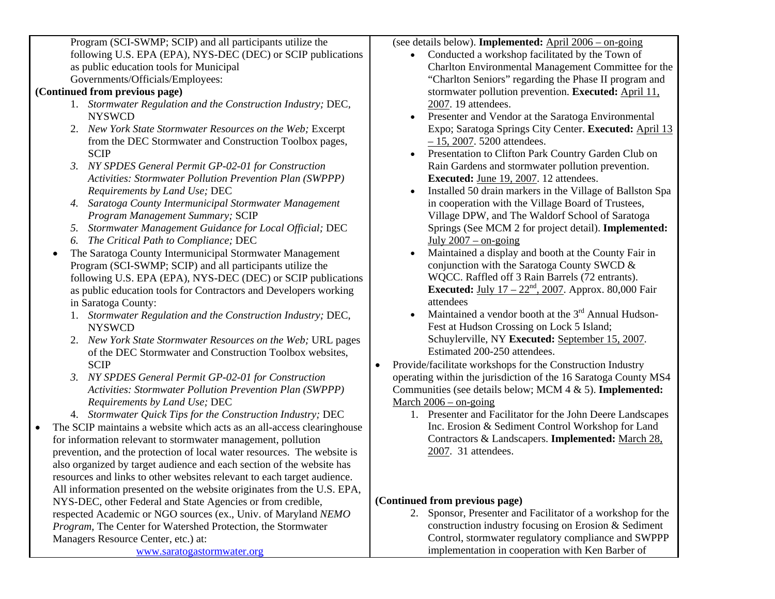Program (SCI-SWMP; SCIP) and all participants utilize the following U.S. EPA (EPA), NYS-DEC (DEC) or SCIP publications as public education tools for Municipal Governments/Officials/Employees:

## **(Continued from previous page)**

- 1. *Stormwater Regulation and the Construction Industry;* DEC, NYSWCD
- 2. *New York State Stormwater Resources on the Web;* Excerpt from the DEC Stormwater and Construction Toolbox pages, SCIP
- *3. NY SPDES General Permit GP-02-01 for Construction Activities: Stormwater Pollution Prevention Plan (SWPPP) Requirements by Land Use;* DEC
- *4. Saratoga County Intermunicipal Stormwater Management Program Management Summary;* SCIP
- *5. Stormwater Management Guidance for Local Official;* DEC
- *6. The Critical Path to Compliance;* DEC
- $\bullet$  The Saratoga County Intermunicipal Stormwater Management Program (SCI-SWMP; SCIP) and all participants utilize the following U.S. EPA (EPA), NYS-DEC (DEC) or SCIP publications as public education tools for Contractors and Developers working in Saratoga County:
	- 1. *Stormwater Regulation and the Construction Industry;* DEC, NYSWCD
	- 2. *New York State Stormwater Resources on the Web;* URL pages of the DEC Stormwater and Construction Toolbox websites, **SCIP**
	- *3. NY SPDES General Permit GP-02-01 for Construction Activities: Stormwater Pollution Prevention Plan (SWPPP) Requirements by Land Use;* DEC
	- 4. *Stormwater Quick Tips for the Construction Industry;* DEC
- • The SCIP maintains a website which acts as an all-access clearinghouse for information relevant to stormwater management, pollution prevention, and the protection of local water resources. The website is also organized by target audience and each section of the website has resources and links to other websites relevant to each target audience. All information presented on the website originates from the U.S. EPA, NYS-DEC, other Federal and State Agencies or from credible, respected Academic or NGO sources (ex., Univ. of Maryland *NEMO Program*, The Center for Watershed Protection, the Stormwater Managers Resource Center, etc.) at: [www.saratogastormwater.org](http://www.saratogastormwater.org/)

(see details below). **Implemented:** April 2006 – on-going

- Conducted a workshop facilitated by the Town of Charlton Environmental Management Committee for the "Charlton Seniors" regarding the Phase II program and stormwater pollution prevention. **Executed:** April 11, 2007. 19 attendees.
- Presenter and Vendor at the Saratoga Environmental Expo; Saratoga Springs City Center. **Executed:** April 13 – 15, 2007. 5200 attendees.
- Presentation to Clifton Park Country Garden Club on Rain Gardens and stormwater pollution prevention. **Executed:** June 19, 2007. 12 attendees.
- Installed 50 drain markers in the Village of Ballston Spa in cooperation with the Village Board of Trustees, Village DPW, and The Waldorf School of Saratoga Springs (See MCM 2 for project detail). **Implemented:**  July  $2007 -$  on-going
- • Maintained a display and booth at the County Fair in conjunction with the Saratoga County SWCD & WQCC. Raffled off 3 Rain Barrels (72 entrants). **Executed:** July  $17 - 22^{nd}$ , 2007. Approx. 80,000 Fair attendees
- •Maintained a vendor booth at the  $3<sup>rd</sup>$  Annual Hudson-Fest at Hudson Crossing on Lock 5 Island; Schuylerville, NY **Executed:** September 15, 2007. Estimated 200-250 attendees.
- Provide/facilitate workshops for the Construction Industry operating within the jurisdiction of the 16 Saratoga County MS4 Communities (see details below; MCM 4 & 5). **Implemented:**  March 2006 – on-going
	- 1. Presenter and Facilitator for the John Deere Landscapes Inc. Erosion & Sediment Control Workshop for Land Contractors & Landscapers. **Implemented:** March 28, 2007. 31 attendees.

# **(Continued from previous page)**

•

2. Sponsor, Presenter and Facilitator of a workshop for the construction industry focusing on Erosion & Sediment Control, stormwater regulatory compliance and SWPPP implementation in cooperation with Ken Barber of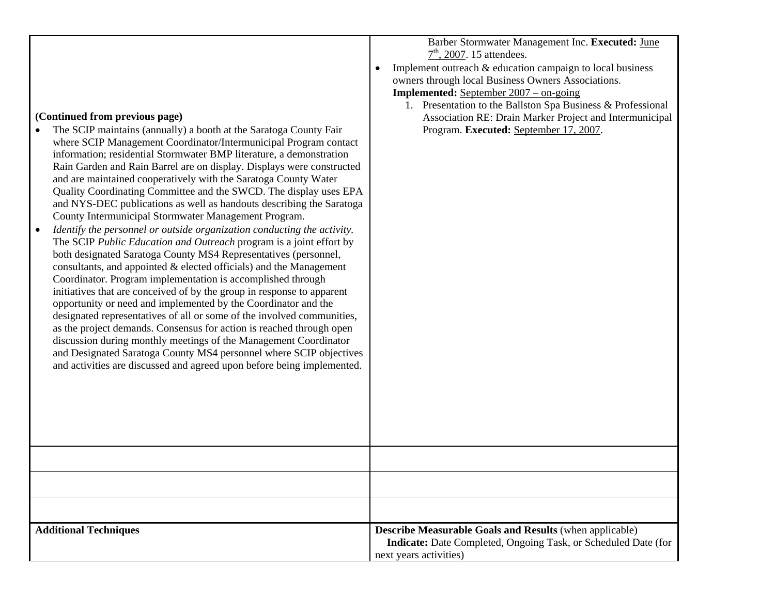Barber Stormwater Management Inc. **Executed:** June  $7<sup>th</sup>$ , 2007. 15 attendees.

• Implement outreach & education campaign to local business owners through local Business Owners Associations.

**Implemented:** September 2007 – on-going

1. Presentation to the Ballston Spa Business & Professional Association RE: Drain Marker Project and Intermunicipal Program. **Executed:** September 17, 2007.

## **(Continued from previous page)**

- • The SCIP maintains (annually) a booth at the Saratoga County Fair where SCIP Management Coordinator/Intermunicipal Program contact information; residential Stormwater BMP literature, a demonstration Rain Garden and Rain Barrel are on display. Displays were constructed and are maintained cooperatively with the Saratoga County Water Quality Coordinating Committee and the SWCD. The display uses EPA and NYS-DEC publications as well as handouts describing the Saratoga County Intermunicipal Stormwater Management Program.
- • *Identify the personnel or outside organization conducting the activity.* The SCIP *Public Education and Outreach* program is a joint effort by both designated Saratoga County MS4 Representatives (personnel, consultants, and appointed & elected officials) and the Management Coordinator. Program implementation is accomplished through initiatives that are conceived of by the group in response to apparent opportunity or need and implemented by the Coordinator and the designated representatives of all or some of the involved communities, as the project demands. Consensus for action is reached through open discussion during monthly meetings of the Management Coordinator and Designated Saratoga County MS4 personnel where SCIP objectives and activities are discussed and agreed upon before being implemented.

| <b>Additional Techniques</b> | <b>Describe Measurable Goals and Results (when applicable)</b><br>Indicate: Date Completed, Ongoing Task, or Scheduled Date (for<br>next years activities) |
|------------------------------|------------------------------------------------------------------------------------------------------------------------------------------------------------|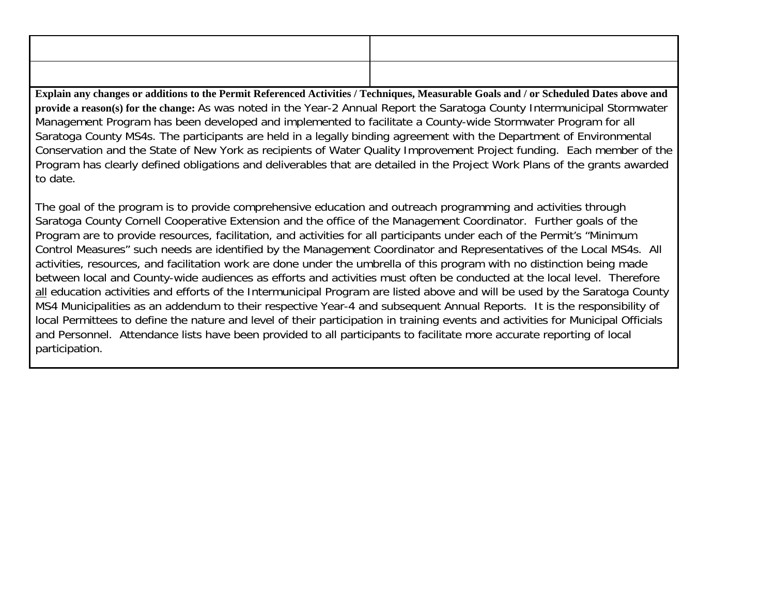**Explain any changes or additions to the Permit Referenced Activities / Techniques, Measurable Goals and / or Scheduled Dates above and provide a reason(s) for the change:** As was noted in the Year-2 Annual Report the Saratoga County Intermunicipal Stormwater Management Program has been developed and implemented to facilitate a County-wide Stormwater Program for all Saratoga County MS4s. The participants are held in a legally binding agreement with the Department of Environmental Conservation and the State of New York as recipients of Water Quality Improvement Project funding. Each member of the Program has clearly defined obligations and deliverables that are detailed in the Project Work Plans of the grants awarded to date.

The goal of the program is to provide comprehensive education and outreach programming and activities through Saratoga County Cornell Cooperative Extension and the office of the Management Coordinator. Further goals of the Program are to provide resources, facilitation, and activities for all participants under each of the Permit's "Minimum Control Measures" such needs are identified by the Management Coordinator and Representatives of the Local MS4s. All activities, resources, and facilitation work are done under the umbrella of this program with no distinction being made between local and County-wide audiences as efforts and activities must often be conducted at the local level. Therefore all education activities and efforts of the Intermunicipal Program are listed above and will be used by the Saratoga County MS4 Municipalities as an addendum to their respective Year-4 and subsequent Annual Reports. It is the responsibility of local Permittees to define the nature and level of their participation in training events and activities for Municipal Officials and Personnel. Attendance lists have been provided to all participants to facilitate more accurate reporting of local participation.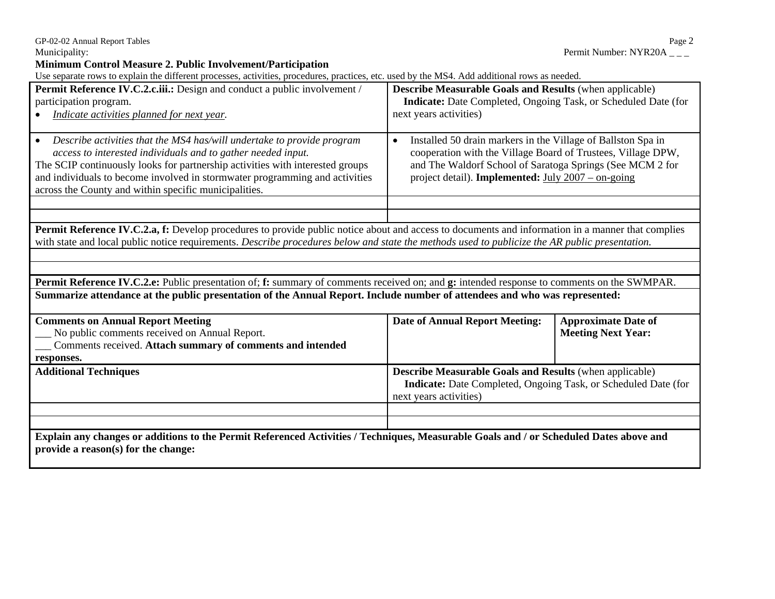#### **Minimum Control Measure 2. Public Involvement/Participation**

Use separate rows to explain the different processes, activities, procedures, practices, etc. used by the MS4. Add additional rows as needed.

| Osc separate rows to explain the unicient processes, activities, procedures, praetices, etc. used by the MD4. Adu adultional rows as heculu.<br>Permit Reference IV.C.2.c.iii.: Design and conduct a public involvement / | <b>Describe Measurable Goals and Results (when applicable)</b>            |                            |  |
|---------------------------------------------------------------------------------------------------------------------------------------------------------------------------------------------------------------------------|---------------------------------------------------------------------------|----------------------------|--|
| participation program.                                                                                                                                                                                                    | Indicate: Date Completed, Ongoing Task, or Scheduled Date (for            |                            |  |
|                                                                                                                                                                                                                           | next years activities)                                                    |                            |  |
| Indicate activities planned for next year.                                                                                                                                                                                |                                                                           |                            |  |
|                                                                                                                                                                                                                           |                                                                           |                            |  |
| Describe activities that the MS4 has/will undertake to provide program<br>$\bullet$                                                                                                                                       | Installed 50 drain markers in the Village of Ballston Spa in<br>$\bullet$ |                            |  |
| access to interested individuals and to gather needed input.                                                                                                                                                              | cooperation with the Village Board of Trustees, Village DPW,              |                            |  |
| The SCIP continuously looks for partnership activities with interested groups                                                                                                                                             | and The Waldorf School of Saratoga Springs (See MCM 2 for                 |                            |  |
| and individuals to become involved in stormwater programming and activities                                                                                                                                               | project detail). <b>Implemented:</b> July $2007 -$ on-going               |                            |  |
| across the County and within specific municipalities.                                                                                                                                                                     |                                                                           |                            |  |
|                                                                                                                                                                                                                           |                                                                           |                            |  |
|                                                                                                                                                                                                                           |                                                                           |                            |  |
| Permit Reference IV.C.2.a, f: Develop procedures to provide public notice about and access to documents and information in a manner that complies                                                                         |                                                                           |                            |  |
| with state and local public notice requirements. Describe procedures below and state the methods used to publicize the AR public presentation.                                                                            |                                                                           |                            |  |
|                                                                                                                                                                                                                           |                                                                           |                            |  |
|                                                                                                                                                                                                                           |                                                                           |                            |  |
| Permit Reference IV.C.2.e: Public presentation of; f: summary of comments received on; and g: intended response to comments on the SWMPAR.                                                                                |                                                                           |                            |  |
| Summarize attendance at the public presentation of the Annual Report. Include number of attendees and who was represented:                                                                                                |                                                                           |                            |  |
|                                                                                                                                                                                                                           |                                                                           |                            |  |
| <b>Comments on Annual Report Meeting</b>                                                                                                                                                                                  | <b>Date of Annual Report Meeting:</b>                                     | <b>Approximate Date of</b> |  |
| No public comments received on Annual Report.                                                                                                                                                                             |                                                                           | <b>Meeting Next Year:</b>  |  |
| Comments received. Attach summary of comments and intended                                                                                                                                                                |                                                                           |                            |  |
|                                                                                                                                                                                                                           |                                                                           |                            |  |
| responses.                                                                                                                                                                                                                |                                                                           |                            |  |
| <b>Additional Techniques</b>                                                                                                                                                                                              | <b>Describe Measurable Goals and Results (when applicable)</b>            |                            |  |
|                                                                                                                                                                                                                           | Indicate: Date Completed, Ongoing Task, or Scheduled Date (for            |                            |  |
|                                                                                                                                                                                                                           | next years activities)                                                    |                            |  |
|                                                                                                                                                                                                                           |                                                                           |                            |  |
|                                                                                                                                                                                                                           |                                                                           |                            |  |
| Explain any changes or additions to the Permit Referenced Activities / Techniques, Measurable Goals and / or Scheduled Dates above and                                                                                    |                                                                           |                            |  |
|                                                                                                                                                                                                                           |                                                                           |                            |  |

GP-02-02 Annual Report Tables<br>
Municipality: Permit Number: NYR20A \_\_\_ Permit Number: NYR20A \_\_\_ Permit Number: NYR20A  $_{---}$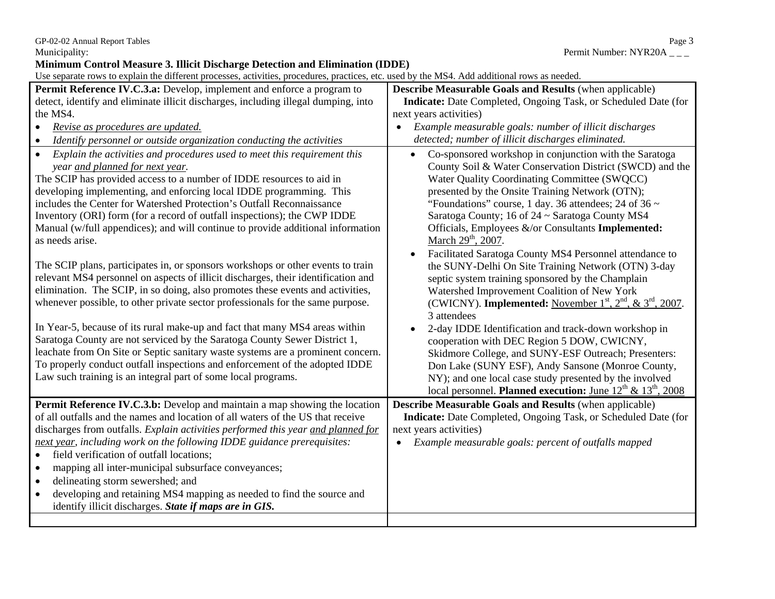GP-02-02 Annual Report Tables Page 3

**Minimum Control Measure 3. Illicit Discharge Detection and Elimination (IDDE)** 

Use separate rows to explain the different processes, activities, procedures, practices, etc. used by the MS4. Add additional rows as needed.

| Permit Reference IV.C.3.a: Develop, implement and enforce a program to<br>detect, identify and eliminate illicit discharges, including illegal dumping, into<br>the MS4.<br>Revise as procedures are updated.<br>Identify personnel or outside organization conducting the activities<br>Explain the activities and procedures used to meet this requirement this<br>$\bullet$<br>year and planned for next year.<br>The SCIP has provided access to a number of IDDE resources to aid in<br>developing implementing, and enforcing local IDDE programming. This<br>includes the Center for Watershed Protection's Outfall Reconnaissance<br>Inventory (ORI) form (for a record of outfall inspections); the CWP IDDE<br>Manual (w/full appendices); and will continue to provide additional information<br>as needs arise.<br>The SCIP plans, participates in, or sponsors workshops or other events to train<br>relevant MS4 personnel on aspects of illicit discharges, their identification and<br>elimination. The SCIP, in so doing, also promotes these events and activities,<br>whenever possible, to other private sector professionals for the same purpose.<br>In Year-5, because of its rural make-up and fact that many MS4 areas within<br>Saratoga County are not serviced by the Saratoga County Sewer District 1,<br>leachate from On Site or Septic sanitary waste systems are a prominent concern.<br>To properly conduct outfall inspections and enforcement of the adopted IDDE<br>Law such training is an integral part of some local programs. | <b>Describe Measurable Goals and Results (when applicable)</b><br>Indicate: Date Completed, Ongoing Task, or Scheduled Date (for<br>next years activities)<br>Example measurable goals: number of illicit discharges<br>detected; number of illicit discharges eliminated.<br>Co-sponsored workshop in conjunction with the Saratoga<br>$\bullet$<br>County Soil & Water Conservation District (SWCD) and the<br>Water Quality Coordinating Committee (SWQCC)<br>presented by the Onsite Training Network (OTN);<br>"Foundations" course, 1 day. 36 attendees; 24 of 36 $\sim$<br>Saratoga County; 16 of 24 ~ Saratoga County MS4<br>Officials, Employees &/or Consultants Implemented:<br>March 29 <sup>th</sup> , 2007.<br>Facilitated Saratoga County MS4 Personnel attendance to<br>the SUNY-Delhi On Site Training Network (OTN) 3-day<br>septic system training sponsored by the Champlain<br>Watershed Improvement Coalition of New York<br>(CWICNY). Implemented: November $1st$ , $2nd$ , $\& 3rd$ , 2007.<br>3 attendees<br>2-day IDDE Identification and track-down workshop in<br>cooperation with DEC Region 5 DOW, CWICNY,<br>Skidmore College, and SUNY-ESF Outreach; Presenters:<br>Don Lake (SUNY ESF), Andy Sansone (Monroe County,<br>NY); and one local case study presented by the involved |
|------------------------------------------------------------------------------------------------------------------------------------------------------------------------------------------------------------------------------------------------------------------------------------------------------------------------------------------------------------------------------------------------------------------------------------------------------------------------------------------------------------------------------------------------------------------------------------------------------------------------------------------------------------------------------------------------------------------------------------------------------------------------------------------------------------------------------------------------------------------------------------------------------------------------------------------------------------------------------------------------------------------------------------------------------------------------------------------------------------------------------------------------------------------------------------------------------------------------------------------------------------------------------------------------------------------------------------------------------------------------------------------------------------------------------------------------------------------------------------------------------------------------------------------------------------------------|------------------------------------------------------------------------------------------------------------------------------------------------------------------------------------------------------------------------------------------------------------------------------------------------------------------------------------------------------------------------------------------------------------------------------------------------------------------------------------------------------------------------------------------------------------------------------------------------------------------------------------------------------------------------------------------------------------------------------------------------------------------------------------------------------------------------------------------------------------------------------------------------------------------------------------------------------------------------------------------------------------------------------------------------------------------------------------------------------------------------------------------------------------------------------------------------------------------------------------------------------------------------------------------------------------------|
|                                                                                                                                                                                                                                                                                                                                                                                                                                                                                                                                                                                                                                                                                                                                                                                                                                                                                                                                                                                                                                                                                                                                                                                                                                                                                                                                                                                                                                                                                                                                                                        |                                                                                                                                                                                                                                                                                                                                                                                                                                                                                                                                                                                                                                                                                                                                                                                                                                                                                                                                                                                                                                                                                                                                                                                                                                                                                                                  |
|                                                                                                                                                                                                                                                                                                                                                                                                                                                                                                                                                                                                                                                                                                                                                                                                                                                                                                                                                                                                                                                                                                                                                                                                                                                                                                                                                                                                                                                                                                                                                                        | local personnel. Planned execution: June $12^{th}$ & $13^{th}$ , 2008                                                                                                                                                                                                                                                                                                                                                                                                                                                                                                                                                                                                                                                                                                                                                                                                                                                                                                                                                                                                                                                                                                                                                                                                                                            |
| <b>Permit Reference IV.C.3.b:</b> Develop and maintain a map showing the location<br>of all outfalls and the names and location of all waters of the US that receive<br>discharges from outfalls. Explain activities performed this year and planned for<br>next year, including work on the following IDDE guidance prerequisites:<br>field verification of outfall locations;<br>$\bullet$<br>mapping all inter-municipal subsurface conveyances;<br>$\bullet$<br>delineating storm sewershed; and<br>$\bullet$<br>developing and retaining MS4 mapping as needed to find the source and<br>$\bullet$<br>identify illicit discharges. State if maps are in GIS.                                                                                                                                                                                                                                                                                                                                                                                                                                                                                                                                                                                                                                                                                                                                                                                                                                                                                                      | <b>Describe Measurable Goals and Results (when applicable)</b><br>Indicate: Date Completed, Ongoing Task, or Scheduled Date (for<br>next years activities)<br>Example measurable goals: percent of outfalls mapped                                                                                                                                                                                                                                                                                                                                                                                                                                                                                                                                                                                                                                                                                                                                                                                                                                                                                                                                                                                                                                                                                               |
|                                                                                                                                                                                                                                                                                                                                                                                                                                                                                                                                                                                                                                                                                                                                                                                                                                                                                                                                                                                                                                                                                                                                                                                                                                                                                                                                                                                                                                                                                                                                                                        |                                                                                                                                                                                                                                                                                                                                                                                                                                                                                                                                                                                                                                                                                                                                                                                                                                                                                                                                                                                                                                                                                                                                                                                                                                                                                                                  |

Municipality: Permit Number: NYR20A \_ \_ \_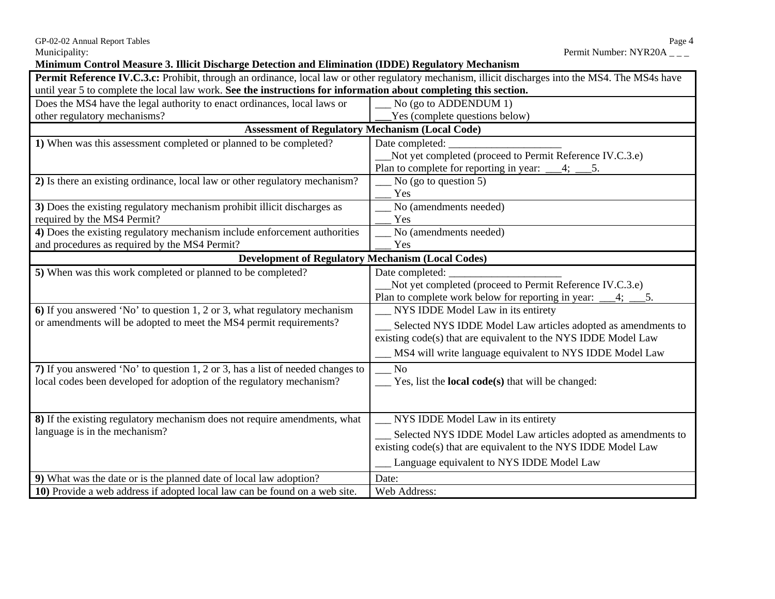GP-02-02 Annual Report Tables Page 4

### **Minimum Control Measure 3. Illicit Discharge Detection and Elimination (IDDE) Regulatory Mechanism**

| Permit Reference IV.C.3.c: Prohibit, through an ordinance, local law or other regulatory mechanism, illicit discharges into the MS4. The MS4s have |                                                                        |  |  |
|----------------------------------------------------------------------------------------------------------------------------------------------------|------------------------------------------------------------------------|--|--|
| until year 5 to complete the local law work. See the instructions for information about completing this section.                                   |                                                                        |  |  |
| Does the MS4 have the legal authority to enact ordinances, local laws or                                                                           | No (go to ADDENDUM 1)                                                  |  |  |
| other regulatory mechanisms?                                                                                                                       | Yes (complete questions below)                                         |  |  |
| <b>Assessment of Regulatory Mechanism (Local Code)</b>                                                                                             |                                                                        |  |  |
| 1) When was this assessment completed or planned to be completed?                                                                                  | Date completed:                                                        |  |  |
|                                                                                                                                                    | Not yet completed (proceed to Permit Reference IV.C.3.e)               |  |  |
|                                                                                                                                                    | Plan to complete for reporting in year: $\_\_4$ ; $\_\_5$ .            |  |  |
| 2) Is there an existing ordinance, local law or other regulatory mechanism?                                                                        | No (go to question 5)                                                  |  |  |
|                                                                                                                                                    | Yes                                                                    |  |  |
| 3) Does the existing regulatory mechanism prohibit illicit discharges as                                                                           | No (amendments needed)                                                 |  |  |
| required by the MS4 Permit?                                                                                                                        | Yes                                                                    |  |  |
| 4) Does the existing regulatory mechanism include enforcement authorities                                                                          | No (amendments needed)                                                 |  |  |
| and procedures as required by the MS4 Permit?                                                                                                      | Yes                                                                    |  |  |
| <b>Development of Regulatory Mechanism (Local Codes)</b>                                                                                           |                                                                        |  |  |
| 5) When was this work completed or planned to be completed?                                                                                        | Date completed:                                                        |  |  |
|                                                                                                                                                    | Not yet completed (proceed to Permit Reference IV.C.3.e)               |  |  |
|                                                                                                                                                    | Plan to complete work below for reporting in year: ___4; __<br>5.      |  |  |
| 6) If you answered 'No' to question 1, 2 or 3, what regulatory mechanism                                                                           | NYS IDDE Model Law in its entirety                                     |  |  |
| or amendments will be adopted to meet the MS4 permit requirements?                                                                                 | Selected NYS IDDE Model Law articles adopted as amendments to          |  |  |
|                                                                                                                                                    | existing code(s) that are equivalent to the NYS IDDE Model Law         |  |  |
|                                                                                                                                                    | MS4 will write language equivalent to NYS IDDE Model Law               |  |  |
|                                                                                                                                                    |                                                                        |  |  |
| 7) If you answered 'No' to question 1, 2 or 3, has a list of needed changes to                                                                     | $\mathbf{N}\mathbf{o}$                                                 |  |  |
| local codes been developed for adoption of the regulatory mechanism?                                                                               | $\frac{1}{2}$ Yes, list the <b>local code(s)</b> that will be changed: |  |  |
|                                                                                                                                                    |                                                                        |  |  |
|                                                                                                                                                    |                                                                        |  |  |
| 8) If the existing regulatory mechanism does not require amendments, what                                                                          | __ NYS IDDE Model Law in its entirety                                  |  |  |
| language is in the mechanism?                                                                                                                      | __ Selected NYS IDDE Model Law articles adopted as amendments to       |  |  |
|                                                                                                                                                    | existing code(s) that are equivalent to the NYS IDDE Model Law         |  |  |
|                                                                                                                                                    | Language equivalent to NYS IDDE Model Law                              |  |  |
| 9) What was the date or is the planned date of local law adoption?                                                                                 | Date:                                                                  |  |  |
| 10) Provide a web address if adopted local law can be found on a web site.                                                                         | Web Address:                                                           |  |  |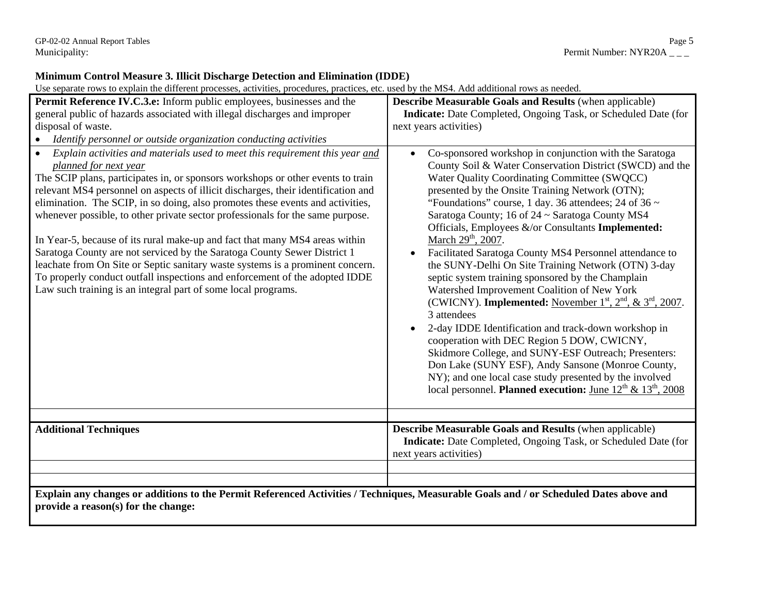| Use separate rows to explain the different processes, activities, procedures, practices, etc. used by the MS4. Add additional rows as needed.                                                                                                                                                                                                                                                                                                                                                                                                                                                                                                                                                                                                                                                                                                               |                                                                                                                                                                                                                                                                                                                                                                                                                                                                                                                                                                                                                                                                                                                                                                                                                                                                                                                                                                                                                                                                                                                     |  |  |  |
|-------------------------------------------------------------------------------------------------------------------------------------------------------------------------------------------------------------------------------------------------------------------------------------------------------------------------------------------------------------------------------------------------------------------------------------------------------------------------------------------------------------------------------------------------------------------------------------------------------------------------------------------------------------------------------------------------------------------------------------------------------------------------------------------------------------------------------------------------------------|---------------------------------------------------------------------------------------------------------------------------------------------------------------------------------------------------------------------------------------------------------------------------------------------------------------------------------------------------------------------------------------------------------------------------------------------------------------------------------------------------------------------------------------------------------------------------------------------------------------------------------------------------------------------------------------------------------------------------------------------------------------------------------------------------------------------------------------------------------------------------------------------------------------------------------------------------------------------------------------------------------------------------------------------------------------------------------------------------------------------|--|--|--|
| Permit Reference IV.C.3.e: Inform public employees, businesses and the<br>general public of hazards associated with illegal discharges and improper<br>disposal of waste.<br>Identify personnel or outside organization conducting activities<br>$\bullet$                                                                                                                                                                                                                                                                                                                                                                                                                                                                                                                                                                                                  | <b>Describe Measurable Goals and Results (when applicable)</b><br>Indicate: Date Completed, Ongoing Task, or Scheduled Date (for<br>next years activities)                                                                                                                                                                                                                                                                                                                                                                                                                                                                                                                                                                                                                                                                                                                                                                                                                                                                                                                                                          |  |  |  |
| Explain activities and materials used to meet this requirement this year and<br>$\bullet$<br>planned for next year<br>The SCIP plans, participates in, or sponsors workshops or other events to train<br>relevant MS4 personnel on aspects of illicit discharges, their identification and<br>elimination. The SCIP, in so doing, also promotes these events and activities,<br>whenever possible, to other private sector professionals for the same purpose.<br>In Year-5, because of its rural make-up and fact that many MS4 areas within<br>Saratoga County are not serviced by the Saratoga County Sewer District 1<br>leachate from On Site or Septic sanitary waste systems is a prominent concern.<br>To properly conduct outfall inspections and enforcement of the adopted IDDE<br>Law such training is an integral part of some local programs. | Co-sponsored workshop in conjunction with the Saratoga<br>$\bullet$<br>County Soil & Water Conservation District (SWCD) and the<br>Water Quality Coordinating Committee (SWQCC)<br>presented by the Onsite Training Network (OTN);<br>"Foundations" course, 1 day. 36 attendees; 24 of 36 $\sim$<br>Saratoga County; 16 of 24 ~ Saratoga County MS4<br>Officials, Employees &/or Consultants Implemented:<br>March 29 <sup>th</sup> , 2007.<br>Facilitated Saratoga County MS4 Personnel attendance to<br>the SUNY-Delhi On Site Training Network (OTN) 3-day<br>septic system training sponsored by the Champlain<br>Watershed Improvement Coalition of New York<br>(CWICNY). Implemented: November $1^{st}$ , $2^{nd}$ , & $3^{rd}$ , 2007.<br>3 attendees<br>2-day IDDE Identification and track-down workshop in<br>cooperation with DEC Region 5 DOW, CWICNY,<br>Skidmore College, and SUNY-ESF Outreach; Presenters:<br>Don Lake (SUNY ESF), Andy Sansone (Monroe County,<br>NY); and one local case study presented by the involved<br>local personnel. Planned execution: June $12^{th}$ & $13^{th}$ , 2008 |  |  |  |
| <b>Additional Techniques</b>                                                                                                                                                                                                                                                                                                                                                                                                                                                                                                                                                                                                                                                                                                                                                                                                                                | <b>Describe Measurable Goals and Results (when applicable)</b><br>Indicate: Date Completed, Ongoing Task, or Scheduled Date (for<br>next years activities)                                                                                                                                                                                                                                                                                                                                                                                                                                                                                                                                                                                                                                                                                                                                                                                                                                                                                                                                                          |  |  |  |
| Explain any changes or additions to the Permit Referenced Activities / Techniques, Measurable Goals and / or Scheduled Dates above and<br>provide a reason(s) for the change:                                                                                                                                                                                                                                                                                                                                                                                                                                                                                                                                                                                                                                                                               |                                                                                                                                                                                                                                                                                                                                                                                                                                                                                                                                                                                                                                                                                                                                                                                                                                                                                                                                                                                                                                                                                                                     |  |  |  |

### **Minimum Control Measure 3. Illicit Discharge Detection and Elimination (IDDE)**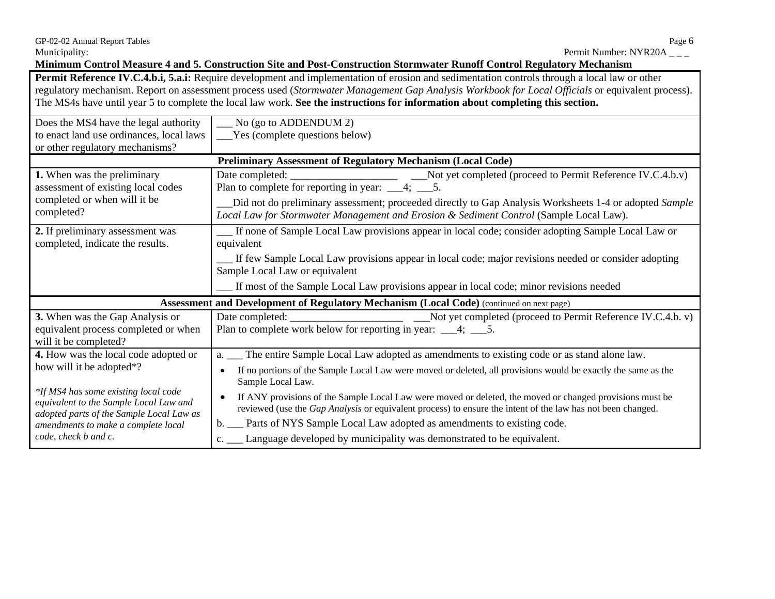Municipality: Permit Number: NYR20A \_ \_ \_

**Minimum Control Measure 4 and 5. Construction Site and Post-Construction Stormwater Runoff Control Regulatory Mechanism** 

**Permit Reference IV.C.4.b.i, 5.a.i:** Require development and implementation of erosion and sedimentation controls through a local law or other regulatory mechanism. Report on assessment process used (*Stormwater Management Gap Analysis Workbook for Local Officials* or equivalent process). The MS4s have until year 5 to complete the local law work. **See the instructions for information about completing this section.** 

| Does the MS4 have the legal authority                                                                                      | No (go to ADDENDUM 2)                                                                                                                                                                                                                                           |  |  |
|----------------------------------------------------------------------------------------------------------------------------|-----------------------------------------------------------------------------------------------------------------------------------------------------------------------------------------------------------------------------------------------------------------|--|--|
| to enact land use ordinances, local laws                                                                                   | ___Yes (complete questions below)                                                                                                                                                                                                                               |  |  |
| or other regulatory mechanisms?                                                                                            |                                                                                                                                                                                                                                                                 |  |  |
|                                                                                                                            | <b>Preliminary Assessment of Regulatory Mechanism (Local Code)</b>                                                                                                                                                                                              |  |  |
| 1. When was the preliminary<br>assessment of existing local codes<br>completed or when will it be<br>completed?            | Plan to complete for reporting in year: $\_\_4$ ; $\_\_5$ .<br>Did not do preliminary assessment; proceeded directly to Gap Analysis Worksheets 1-4 or adopted Sample<br>Local Law for Stormwater Management and Erosion & Sediment Control (Sample Local Law). |  |  |
| 2. If preliminary assessment was<br>completed, indicate the results.                                                       | If none of Sample Local Law provisions appear in local code; consider adopting Sample Local Law or<br>equivalent                                                                                                                                                |  |  |
|                                                                                                                            | If few Sample Local Law provisions appear in local code; major revisions needed or consider adopting<br>Sample Local Law or equivalent                                                                                                                          |  |  |
|                                                                                                                            | If most of the Sample Local Law provisions appear in local code; minor revisions needed                                                                                                                                                                         |  |  |
|                                                                                                                            | Assessment and Development of Regulatory Mechanism (Local Code) (continued on next page)                                                                                                                                                                        |  |  |
| 3. When was the Gap Analysis or                                                                                            |                                                                                                                                                                                                                                                                 |  |  |
| equivalent process completed or when<br>will it be completed?                                                              | Plan to complete work below for reporting in year: $\_\_\_4$ ; $\_\_5$ .                                                                                                                                                                                        |  |  |
| 4. How was the local code adopted or                                                                                       | a. __ The entire Sample Local Law adopted as amendments to existing code or as stand alone law.                                                                                                                                                                 |  |  |
| how will it be adopted*?                                                                                                   | If no portions of the Sample Local Law were moved or deleted, all provisions would be exactly the same as the<br>$\bullet$<br>Sample Local Law.                                                                                                                 |  |  |
| *If MS4 has some existing local code<br>equivalent to the Sample Local Law and<br>adopted parts of the Sample Local Law as | If ANY provisions of the Sample Local Law were moved or deleted, the moved or changed provisions must be<br>reviewed (use the <i>Gap Analysis</i> or equivalent process) to ensure the intent of the law has not been changed.                                  |  |  |
|                                                                                                                            |                                                                                                                                                                                                                                                                 |  |  |
| amendments to make a complete local                                                                                        | b. __ Parts of NYS Sample Local Law adopted as amendments to existing code.                                                                                                                                                                                     |  |  |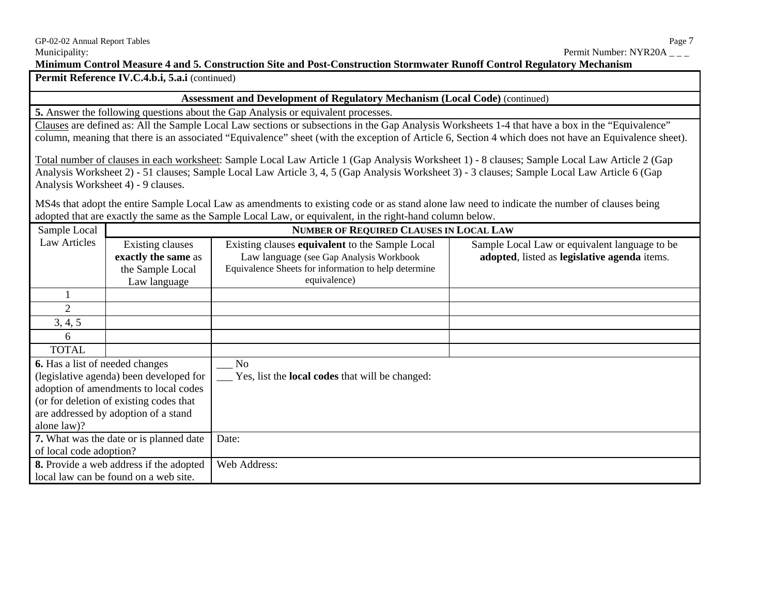Permit Reference IV.C.4.b.i, 5.a.i (continued)

#### **Assessment and Development of Regulatory Mechanism (Local Code)** (continued)

**5.** Answer the following questions about the Gap Analysis or equivalent processes.

Clauses are defined as: All the Sample Local Law sections or subsections in the Gap Analysis Worksheets 1-4 that have a box in the "Equivalence" column, meaning that there is an associated "Equivalence" sheet (with the exception of Article 6, Section 4 which does not have an Equivalence sheet).

Total number of clauses in each worksheet: Sample Local Law Article 1 (Gap Analysis Worksheet 1) - 8 clauses; Sample Local Law Article 2 (Gap Analysis Worksheet 2) - 51 clauses; Sample Local Law Article 3, 4, 5 (Gap Analysis Worksheet 3) - 3 clauses; Sample Local Law Article 6 (Gap Analysis Worksheet 4) - 9 clauses.

MS4s that adopt the entire Sample Local Law as amendments to existing code or as stand alone law need to indicate the number of clauses being adopted that are exactly the same as the Sample Local Law*,* or equivalent, in the right-hand column below.

| Sample Local                                   |                                                                                    | <b>NUMBER OF REQUIRED CLAUSES IN LOCAL LAW</b>                                                                                                                     |                                                                                               |
|------------------------------------------------|------------------------------------------------------------------------------------|--------------------------------------------------------------------------------------------------------------------------------------------------------------------|-----------------------------------------------------------------------------------------------|
| Law Articles                                   | <b>Existing clauses</b><br>exactly the same as<br>the Sample Local<br>Law language | Existing clauses equivalent to the Sample Local<br>Law language (see Gap Analysis Workbook<br>Equivalence Sheets for information to help determine<br>equivalence) | Sample Local Law or equivalent language to be<br>adopted, listed as legislative agenda items. |
|                                                |                                                                                    |                                                                                                                                                                    |                                                                                               |
| 2                                              |                                                                                    |                                                                                                                                                                    |                                                                                               |
| 3, 4, 5                                        |                                                                                    |                                                                                                                                                                    |                                                                                               |
| 6                                              |                                                                                    |                                                                                                                                                                    |                                                                                               |
| <b>TOTAL</b>                                   |                                                                                    |                                                                                                                                                                    |                                                                                               |
| 6. Has a list of needed changes                |                                                                                    | No                                                                                                                                                                 |                                                                                               |
| (legislative agenda) been developed for        |                                                                                    | Yes, list the <b>local codes</b> that will be changed:                                                                                                             |                                                                                               |
| adoption of amendments to local codes          |                                                                                    |                                                                                                                                                                    |                                                                                               |
| (or for deletion of existing codes that        |                                                                                    |                                                                                                                                                                    |                                                                                               |
| are addressed by adoption of a stand           |                                                                                    |                                                                                                                                                                    |                                                                                               |
| alone law)?                                    |                                                                                    |                                                                                                                                                                    |                                                                                               |
| 7. What was the date or is planned date        |                                                                                    | Date:                                                                                                                                                              |                                                                                               |
| of local code adoption?                        |                                                                                    |                                                                                                                                                                    |                                                                                               |
| <b>8.</b> Provide a web address if the adopted |                                                                                    | Web Address:                                                                                                                                                       |                                                                                               |
| local law can be found on a web site.          |                                                                                    |                                                                                                                                                                    |                                                                                               |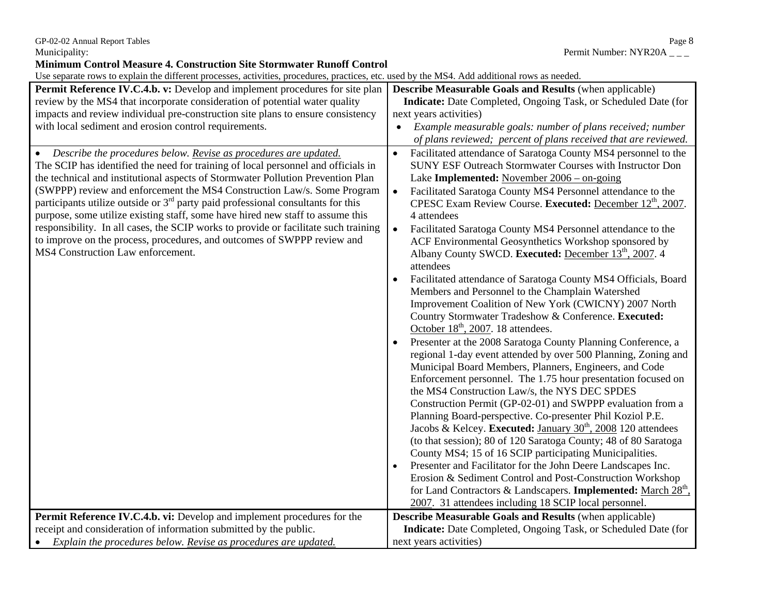**Minimum Control Measure 4. Construction Site Stormwater Runoff Control** 

Use separate rows to explain the different processes, activities, procedures, practices, etc. used by the MS4. Add additional rows as needed.

| Permit Reference IV.C.4.b. v: Develop and implement procedures for site plan                                                                                                                                                                                                                                                                                                                                                                                                                                                                                                                                                                                                                                    | <b>Describe Measurable Goals and Results (when applicable)</b>                                                                                                                                                                                                                                                                                                                                                                                                                                                                                                                                                                                                                                                                                                                                                                                                                                                                                                                                                                                                                                                                                                                                                                                                                                                                                                                                                                                                                                                                                                                                                                                                                                                                                                                                          |
|-----------------------------------------------------------------------------------------------------------------------------------------------------------------------------------------------------------------------------------------------------------------------------------------------------------------------------------------------------------------------------------------------------------------------------------------------------------------------------------------------------------------------------------------------------------------------------------------------------------------------------------------------------------------------------------------------------------------|---------------------------------------------------------------------------------------------------------------------------------------------------------------------------------------------------------------------------------------------------------------------------------------------------------------------------------------------------------------------------------------------------------------------------------------------------------------------------------------------------------------------------------------------------------------------------------------------------------------------------------------------------------------------------------------------------------------------------------------------------------------------------------------------------------------------------------------------------------------------------------------------------------------------------------------------------------------------------------------------------------------------------------------------------------------------------------------------------------------------------------------------------------------------------------------------------------------------------------------------------------------------------------------------------------------------------------------------------------------------------------------------------------------------------------------------------------------------------------------------------------------------------------------------------------------------------------------------------------------------------------------------------------------------------------------------------------------------------------------------------------------------------------------------------------|
| review by the MS4 that incorporate consideration of potential water quality                                                                                                                                                                                                                                                                                                                                                                                                                                                                                                                                                                                                                                     | Indicate: Date Completed, Ongoing Task, or Scheduled Date (for                                                                                                                                                                                                                                                                                                                                                                                                                                                                                                                                                                                                                                                                                                                                                                                                                                                                                                                                                                                                                                                                                                                                                                                                                                                                                                                                                                                                                                                                                                                                                                                                                                                                                                                                          |
| impacts and review individual pre-construction site plans to ensure consistency                                                                                                                                                                                                                                                                                                                                                                                                                                                                                                                                                                                                                                 | next years activities)                                                                                                                                                                                                                                                                                                                                                                                                                                                                                                                                                                                                                                                                                                                                                                                                                                                                                                                                                                                                                                                                                                                                                                                                                                                                                                                                                                                                                                                                                                                                                                                                                                                                                                                                                                                  |
| with local sediment and erosion control requirements.                                                                                                                                                                                                                                                                                                                                                                                                                                                                                                                                                                                                                                                           | Example measurable goals: number of plans received; number<br>$\bullet$                                                                                                                                                                                                                                                                                                                                                                                                                                                                                                                                                                                                                                                                                                                                                                                                                                                                                                                                                                                                                                                                                                                                                                                                                                                                                                                                                                                                                                                                                                                                                                                                                                                                                                                                 |
|                                                                                                                                                                                                                                                                                                                                                                                                                                                                                                                                                                                                                                                                                                                 | of plans reviewed; percent of plans received that are reviewed.                                                                                                                                                                                                                                                                                                                                                                                                                                                                                                                                                                                                                                                                                                                                                                                                                                                                                                                                                                                                                                                                                                                                                                                                                                                                                                                                                                                                                                                                                                                                                                                                                                                                                                                                         |
| Describe the procedures below. Revise as procedures are updated.<br>$\bullet$<br>The SCIP has identified the need for training of local personnel and officials in<br>the technical and institutional aspects of Stormwater Pollution Prevention Plan<br>(SWPPP) review and enforcement the MS4 Construction Law/s. Some Program<br>participants utilize outside or $3rd$ party paid professional consultants for this<br>purpose, some utilize existing staff, some have hired new staff to assume this<br>responsibility. In all cases, the SCIP works to provide or facilitate such training<br>to improve on the process, procedures, and outcomes of SWPPP review and<br>MS4 Construction Law enforcement. | Facilitated attendance of Saratoga County MS4 personnel to the<br>$\bullet$<br><b>SUNY ESF Outreach Stormwater Courses with Instructor Don</b><br>Lake Implemented: November $2006 -$ on-going<br>Facilitated Saratoga County MS4 Personnel attendance to the<br>$\bullet$<br>CPESC Exam Review Course. Executed: December 12 <sup>th</sup> , 2007.<br>4 attendees<br>$\bullet$<br>Facilitated Saratoga County MS4 Personnel attendance to the<br>ACF Environmental Geosynthetics Workshop sponsored by<br>Albany County SWCD. Executed: December 13 <sup>th</sup> , 2007. 4<br>attendees<br>Facilitated attendance of Saratoga County MS4 Officials, Board<br>Members and Personnel to the Champlain Watershed<br>Improvement Coalition of New York (CWICNY) 2007 North<br>Country Stormwater Tradeshow & Conference. Executed:<br>October 18 <sup>th</sup> , 2007. 18 attendees.<br>Presenter at the 2008 Saratoga County Planning Conference, a<br>regional 1-day event attended by over 500 Planning, Zoning and<br>Municipal Board Members, Planners, Engineers, and Code<br>Enforcement personnel. The 1.75 hour presentation focused on<br>the MS4 Construction Law/s, the NYS DEC SPDES<br>Construction Permit (GP-02-01) and SWPPP evaluation from a<br>Planning Board-perspective. Co-presenter Phil Koziol P.E.<br>Jacobs & Kelcey. Executed: January 30 <sup>th</sup> , 2008 120 attendees<br>(to that session); 80 of 120 Saratoga County; 48 of 80 Saratoga<br>County MS4; 15 of 16 SCIP participating Municipalities.<br>Presenter and Facilitator for the John Deere Landscapes Inc.<br>Erosion & Sediment Control and Post-Construction Workshop<br>for Land Contractors & Landscapers. Implemented: March 28 <sup>th</sup> ,<br>2007. 31 attendees including 18 SCIP local personnel. |
| Permit Reference IV.C.4.b. vi: Develop and implement procedures for the                                                                                                                                                                                                                                                                                                                                                                                                                                                                                                                                                                                                                                         | <b>Describe Measurable Goals and Results (when applicable)</b>                                                                                                                                                                                                                                                                                                                                                                                                                                                                                                                                                                                                                                                                                                                                                                                                                                                                                                                                                                                                                                                                                                                                                                                                                                                                                                                                                                                                                                                                                                                                                                                                                                                                                                                                          |
| receipt and consideration of information submitted by the public.                                                                                                                                                                                                                                                                                                                                                                                                                                                                                                                                                                                                                                               | Indicate: Date Completed, Ongoing Task, or Scheduled Date (for                                                                                                                                                                                                                                                                                                                                                                                                                                                                                                                                                                                                                                                                                                                                                                                                                                                                                                                                                                                                                                                                                                                                                                                                                                                                                                                                                                                                                                                                                                                                                                                                                                                                                                                                          |
| Explain the procedures below. Revise as procedures are updated.                                                                                                                                                                                                                                                                                                                                                                                                                                                                                                                                                                                                                                                 | next years activities)                                                                                                                                                                                                                                                                                                                                                                                                                                                                                                                                                                                                                                                                                                                                                                                                                                                                                                                                                                                                                                                                                                                                                                                                                                                                                                                                                                                                                                                                                                                                                                                                                                                                                                                                                                                  |

GP-02-02 Annual Report Tables<br>
Municipality: Permit Number: NYR20A \_\_\_ Permit Number: NYR20A  $_{---}$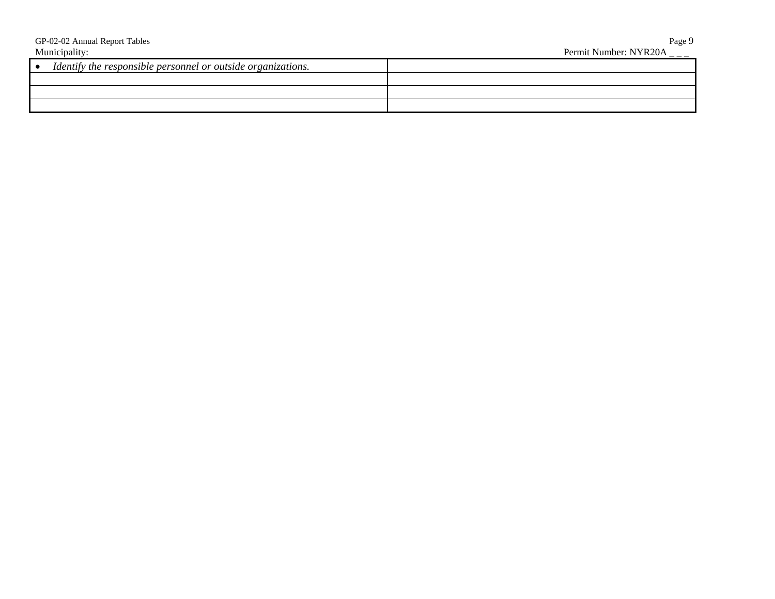| GP-02-02 Annual Report Tables                                       | Page 9                |
|---------------------------------------------------------------------|-----------------------|
| Municipality:                                                       | Permit Number: NYR20A |
| Identify the responsible personnel or outside organizations.<br>l e |                       |
|                                                                     |                       |
|                                                                     |                       |
|                                                                     |                       |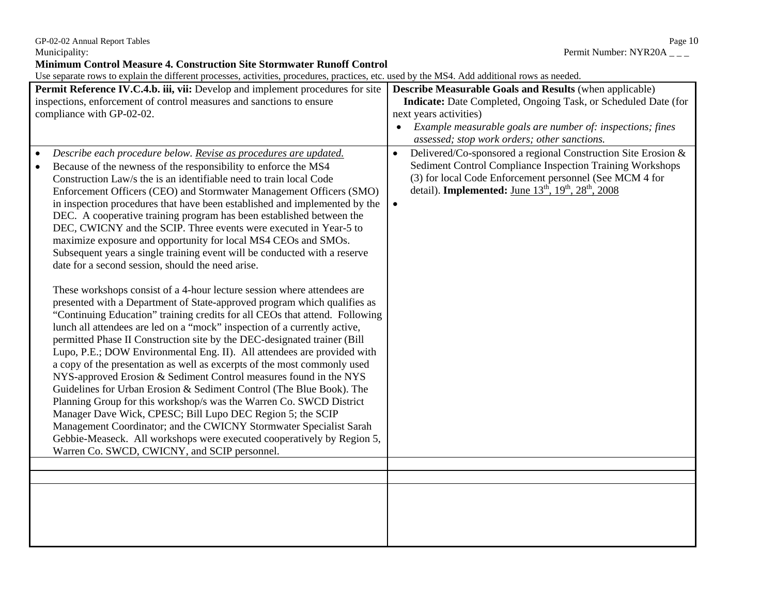GP-02-02 Annual Report Tables Page 10

**Minimum Control Measure 4. Construction Site Stormwater Runoff Control** 

Use separate rows to explain the different processes, activities, procedures, practices, etc. used by the MS4. Add additional rows as needed.

| ose separate rows to explain the unferent processes, activities, procedures, practices, etc. asea by the mb is nuclearmonal rows as necaca.                                                                                                                                                                                                                                                                                                                                                                                                                                                                                                                                                                                                                                                                                                                                                                                                                                                                                                                                                                                                                                                                                                                                                                                                                                                                                                                                                                                                                                                                                                                                                                                                             |                                                                                                                                                                                                                                                                                                             |
|---------------------------------------------------------------------------------------------------------------------------------------------------------------------------------------------------------------------------------------------------------------------------------------------------------------------------------------------------------------------------------------------------------------------------------------------------------------------------------------------------------------------------------------------------------------------------------------------------------------------------------------------------------------------------------------------------------------------------------------------------------------------------------------------------------------------------------------------------------------------------------------------------------------------------------------------------------------------------------------------------------------------------------------------------------------------------------------------------------------------------------------------------------------------------------------------------------------------------------------------------------------------------------------------------------------------------------------------------------------------------------------------------------------------------------------------------------------------------------------------------------------------------------------------------------------------------------------------------------------------------------------------------------------------------------------------------------------------------------------------------------|-------------------------------------------------------------------------------------------------------------------------------------------------------------------------------------------------------------------------------------------------------------------------------------------------------------|
| Permit Reference IV.C.4.b. iii, vii: Develop and implement procedures for site<br>inspections, enforcement of control measures and sanctions to ensure<br>compliance with GP-02-02.                                                                                                                                                                                                                                                                                                                                                                                                                                                                                                                                                                                                                                                                                                                                                                                                                                                                                                                                                                                                                                                                                                                                                                                                                                                                                                                                                                                                                                                                                                                                                                     | <b>Describe Measurable Goals and Results (when applicable)</b><br><b>Indicate:</b> Date Completed, Ongoing Task, or Scheduled Date (for<br>next years activities)<br>Example measurable goals are number of: inspections; fines<br>$\bullet$<br>assessed; stop work orders; other sanctions.                |
| Describe each procedure below. Revise as procedures are updated.<br>Because of the newness of the responsibility to enforce the MS4<br>Construction Law/s the is an identifiable need to train local Code<br>Enforcement Officers (CEO) and Stormwater Management Officers (SMO)<br>in inspection procedures that have been established and implemented by the<br>DEC. A cooperative training program has been established between the<br>DEC, CWICNY and the SCIP. Three events were executed in Year-5 to<br>maximize exposure and opportunity for local MS4 CEOs and SMOs.<br>Subsequent years a single training event will be conducted with a reserve<br>date for a second session, should the need arise.<br>These workshops consist of a 4-hour lecture session where attendees are<br>presented with a Department of State-approved program which qualifies as<br>"Continuing Education" training credits for all CEOs that attend. Following<br>lunch all attendees are led on a "mock" inspection of a currently active,<br>permitted Phase II Construction site by the DEC-designated trainer (Bill<br>Lupo, P.E.; DOW Environmental Eng. II). All attendees are provided with<br>a copy of the presentation as well as excerpts of the most commonly used<br>NYS-approved Erosion & Sediment Control measures found in the NYS<br>Guidelines for Urban Erosion & Sediment Control (The Blue Book). The<br>Planning Group for this workshop/s was the Warren Co. SWCD District<br>Manager Dave Wick, CPESC; Bill Lupo DEC Region 5; the SCIP<br>Management Coordinator; and the CWICNY Stormwater Specialist Sarah<br>Gebbie-Measeck. All workshops were executed cooperatively by Region 5,<br>Warren Co. SWCD, CWICNY, and SCIP personnel. | Delivered/Co-sponsored a regional Construction Site Erosion &<br>$\bullet$<br>Sediment Control Compliance Inspection Training Workshops<br>(3) for local Code Enforcement personnel (See MCM 4 for<br>detail). Implemented: June 13 <sup>th</sup> , 19 <sup>th</sup> , 28 <sup>th</sup> , 2008<br>$\bullet$ |
|                                                                                                                                                                                                                                                                                                                                                                                                                                                                                                                                                                                                                                                                                                                                                                                                                                                                                                                                                                                                                                                                                                                                                                                                                                                                                                                                                                                                                                                                                                                                                                                                                                                                                                                                                         |                                                                                                                                                                                                                                                                                                             |
|                                                                                                                                                                                                                                                                                                                                                                                                                                                                                                                                                                                                                                                                                                                                                                                                                                                                                                                                                                                                                                                                                                                                                                                                                                                                                                                                                                                                                                                                                                                                                                                                                                                                                                                                                         |                                                                                                                                                                                                                                                                                                             |

Municipality: Permit Number: NYR20A \_ \_ \_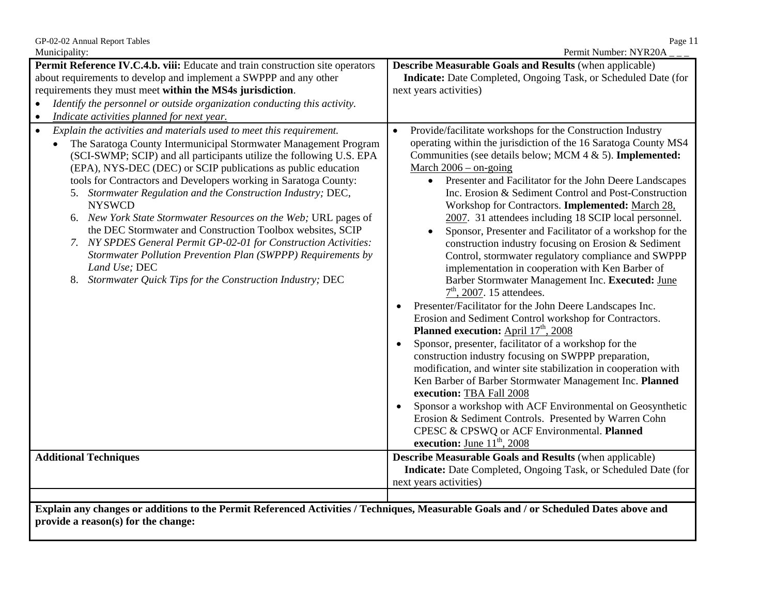| Municipality:<br>Permit Number: NYR20A                                                                                                                                                                                                                                                                                                                                                                                                                                                                                                                                                                                                                                                                                                                                                                               |                                                                                                                                                                                                                                                                                                                                                                                                                                                                                                                                                                                                                                                                                                                                                                                                                                                                                                                                                                                                                                                                                                                                                                                                                                                                                                                                                                                                                                                                     |  |
|----------------------------------------------------------------------------------------------------------------------------------------------------------------------------------------------------------------------------------------------------------------------------------------------------------------------------------------------------------------------------------------------------------------------------------------------------------------------------------------------------------------------------------------------------------------------------------------------------------------------------------------------------------------------------------------------------------------------------------------------------------------------------------------------------------------------|---------------------------------------------------------------------------------------------------------------------------------------------------------------------------------------------------------------------------------------------------------------------------------------------------------------------------------------------------------------------------------------------------------------------------------------------------------------------------------------------------------------------------------------------------------------------------------------------------------------------------------------------------------------------------------------------------------------------------------------------------------------------------------------------------------------------------------------------------------------------------------------------------------------------------------------------------------------------------------------------------------------------------------------------------------------------------------------------------------------------------------------------------------------------------------------------------------------------------------------------------------------------------------------------------------------------------------------------------------------------------------------------------------------------------------------------------------------------|--|
| Permit Reference IV.C.4.b. viii: Educate and train construction site operators<br><b>Describe Measurable Goals and Results (when applicable)</b>                                                                                                                                                                                                                                                                                                                                                                                                                                                                                                                                                                                                                                                                     |                                                                                                                                                                                                                                                                                                                                                                                                                                                                                                                                                                                                                                                                                                                                                                                                                                                                                                                                                                                                                                                                                                                                                                                                                                                                                                                                                                                                                                                                     |  |
| about requirements to develop and implement a SWPPP and any other                                                                                                                                                                                                                                                                                                                                                                                                                                                                                                                                                                                                                                                                                                                                                    | Indicate: Date Completed, Ongoing Task, or Scheduled Date (for                                                                                                                                                                                                                                                                                                                                                                                                                                                                                                                                                                                                                                                                                                                                                                                                                                                                                                                                                                                                                                                                                                                                                                                                                                                                                                                                                                                                      |  |
| requirements they must meet within the MS4s jurisdiction.                                                                                                                                                                                                                                                                                                                                                                                                                                                                                                                                                                                                                                                                                                                                                            | next years activities)                                                                                                                                                                                                                                                                                                                                                                                                                                                                                                                                                                                                                                                                                                                                                                                                                                                                                                                                                                                                                                                                                                                                                                                                                                                                                                                                                                                                                                              |  |
| Identify the personnel or outside organization conducting this activity.                                                                                                                                                                                                                                                                                                                                                                                                                                                                                                                                                                                                                                                                                                                                             |                                                                                                                                                                                                                                                                                                                                                                                                                                                                                                                                                                                                                                                                                                                                                                                                                                                                                                                                                                                                                                                                                                                                                                                                                                                                                                                                                                                                                                                                     |  |
| Indicate activities planned for next year.<br>$\bullet$                                                                                                                                                                                                                                                                                                                                                                                                                                                                                                                                                                                                                                                                                                                                                              |                                                                                                                                                                                                                                                                                                                                                                                                                                                                                                                                                                                                                                                                                                                                                                                                                                                                                                                                                                                                                                                                                                                                                                                                                                                                                                                                                                                                                                                                     |  |
| Explain the activities and materials used to meet this requirement.<br>$\bullet$<br>The Saratoga County Intermunicipal Stormwater Management Program<br>$\bullet$<br>(SCI-SWMP; SCIP) and all participants utilize the following U.S. EPA<br>(EPA), NYS-DEC (DEC) or SCIP publications as public education<br>tools for Contractors and Developers working in Saratoga County:<br>5. Stormwater Regulation and the Construction Industry; DEC,<br><b>NYSWCD</b><br>6. New York State Stormwater Resources on the Web; URL pages of<br>the DEC Stormwater and Construction Toolbox websites, SCIP<br>7. NY SPDES General Permit GP-02-01 for Construction Activities:<br>Stormwater Pollution Prevention Plan (SWPPP) Requirements by<br>Land Use; DEC<br>8. Stormwater Quick Tips for the Construction Industry; DEC | Provide/facilitate workshops for the Construction Industry<br>operating within the jurisdiction of the 16 Saratoga County MS4<br>Communities (see details below; MCM 4 & 5). Implemented:<br>March $2006 -$ on-going<br>Presenter and Facilitator for the John Deere Landscapes<br>$\bullet$<br>Inc. Erosion & Sediment Control and Post-Construction<br>Workshop for Contractors. Implemented: March 28,<br>2007. 31 attendees including 18 SCIP local personnel.<br>Sponsor, Presenter and Facilitator of a workshop for the<br>construction industry focusing on Erosion & Sediment<br>Control, stormwater regulatory compliance and SWPPP<br>implementation in cooperation with Ken Barber of<br>Barber Stormwater Management Inc. Executed: June<br>$7th$ , 2007. 15 attendees.<br>Presenter/Facilitator for the John Deere Landscapes Inc.<br>$\bullet$<br>Erosion and Sediment Control workshop for Contractors.<br>Planned execution: April 17 <sup>th</sup> , 2008<br>Sponsor, presenter, facilitator of a workshop for the<br>construction industry focusing on SWPPP preparation,<br>modification, and winter site stabilization in cooperation with<br>Ken Barber of Barber Stormwater Management Inc. Planned<br>execution: TBA Fall 2008<br>Sponsor a workshop with ACF Environmental on Geosynthetic<br>Erosion & Sediment Controls. Presented by Warren Cohn<br>CPESC & CPSWQ or ACF Environmental. Planned<br><b>execution:</b> June $11th$ , 2008 |  |
| <b>Additional Techniques</b>                                                                                                                                                                                                                                                                                                                                                                                                                                                                                                                                                                                                                                                                                                                                                                                         | <b>Describe Measurable Goals and Results (when applicable)</b><br>Indicate: Date Completed, Ongoing Task, or Scheduled Date (for<br>next years activities)                                                                                                                                                                                                                                                                                                                                                                                                                                                                                                                                                                                                                                                                                                                                                                                                                                                                                                                                                                                                                                                                                                                                                                                                                                                                                                          |  |
|                                                                                                                                                                                                                                                                                                                                                                                                                                                                                                                                                                                                                                                                                                                                                                                                                      |                                                                                                                                                                                                                                                                                                                                                                                                                                                                                                                                                                                                                                                                                                                                                                                                                                                                                                                                                                                                                                                                                                                                                                                                                                                                                                                                                                                                                                                                     |  |
| Explain any changes or additions to the Permit Referenced Activities / Techniques, Measurable Goals and / or Scheduled Dates above and<br>provide a reason(s) for the change:                                                                                                                                                                                                                                                                                                                                                                                                                                                                                                                                                                                                                                        |                                                                                                                                                                                                                                                                                                                                                                                                                                                                                                                                                                                                                                                                                                                                                                                                                                                                                                                                                                                                                                                                                                                                                                                                                                                                                                                                                                                                                                                                     |  |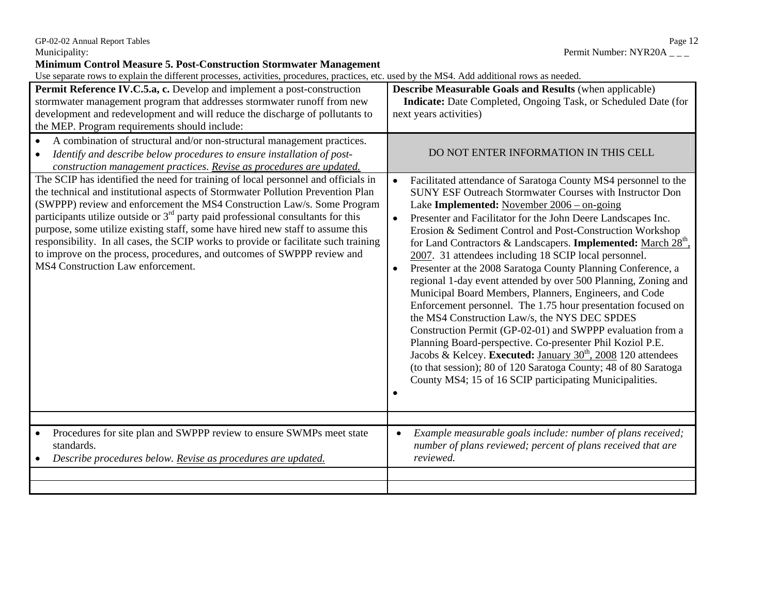**Minimum Control Measure 5. Post-Construction Stormwater Management**

| Permit Reference IV.C.5.a, c. Develop and implement a post-construction<br>stormwater management program that addresses stormwater runoff from new<br>development and redevelopment and will reduce the discharge of pollutants to<br>the MEP. Program requirements should include:                                                                                                                                                                                                                                                                                                                                                                                                                                                                                                                                                                                                   | <b>Describe Measurable Goals and Results (when applicable)</b><br><b>Indicate:</b> Date Completed, Ongoing Task, or Scheduled Date (for<br>next years activities)                                                                                                                                                                                                                                                                                                                                                                                                                                                                                                                                                                                                                                                                                                                                                                                                                                                                                                                                                                                                   |
|---------------------------------------------------------------------------------------------------------------------------------------------------------------------------------------------------------------------------------------------------------------------------------------------------------------------------------------------------------------------------------------------------------------------------------------------------------------------------------------------------------------------------------------------------------------------------------------------------------------------------------------------------------------------------------------------------------------------------------------------------------------------------------------------------------------------------------------------------------------------------------------|---------------------------------------------------------------------------------------------------------------------------------------------------------------------------------------------------------------------------------------------------------------------------------------------------------------------------------------------------------------------------------------------------------------------------------------------------------------------------------------------------------------------------------------------------------------------------------------------------------------------------------------------------------------------------------------------------------------------------------------------------------------------------------------------------------------------------------------------------------------------------------------------------------------------------------------------------------------------------------------------------------------------------------------------------------------------------------------------------------------------------------------------------------------------|
| A combination of structural and/or non-structural management practices.<br>$\bullet$<br>Identify and describe below procedures to ensure installation of post-<br>$\bullet$<br>construction management practices. Revise as procedures are updated.<br>The SCIP has identified the need for training of local personnel and officials in<br>the technical and institutional aspects of Stormwater Pollution Prevention Plan<br>(SWPPP) review and enforcement the MS4 Construction Law/s. Some Program<br>participants utilize outside or $3rd$ party paid professional consultants for this<br>purpose, some utilize existing staff, some have hired new staff to assume this<br>responsibility. In all cases, the SCIP works to provide or facilitate such training<br>to improve on the process, procedures, and outcomes of SWPPP review and<br>MS4 Construction Law enforcement. | DO NOT ENTER INFORMATION IN THIS CELL<br>Facilitated attendance of Saratoga County MS4 personnel to the<br>$\bullet$<br><b>SUNY ESF Outreach Stormwater Courses with Instructor Don</b><br>Lake Implemented: November $2006 -$ on-going<br>Presenter and Facilitator for the John Deere Landscapes Inc.<br>Erosion & Sediment Control and Post-Construction Workshop<br>for Land Contractors & Landscapers. <b>Implemented:</b> March 28 <sup>th</sup> .<br>2007. 31 attendees including 18 SCIP local personnel.<br>Presenter at the 2008 Saratoga County Planning Conference, a<br>regional 1-day event attended by over 500 Planning, Zoning and<br>Municipal Board Members, Planners, Engineers, and Code<br>Enforcement personnel. The 1.75 hour presentation focused on<br>the MS4 Construction Law/s, the NYS DEC SPDES<br>Construction Permit (GP-02-01) and SWPPP evaluation from a<br>Planning Board-perspective. Co-presenter Phil Koziol P.E.<br>Jacobs & Kelcey. Executed: January 30 <sup>th</sup> , 2008 120 attendees<br>(to that session); 80 of 120 Saratoga County; 48 of 80 Saratoga<br>County MS4; 15 of 16 SCIP participating Municipalities. |
| Procedures for site plan and SWPPP review to ensure SWMPs meet state<br>$\bullet$<br>standards.<br>Describe procedures below. Revise as procedures are updated.                                                                                                                                                                                                                                                                                                                                                                                                                                                                                                                                                                                                                                                                                                                       | Example measurable goals include: number of plans received;<br>$\bullet$<br>number of plans reviewed; percent of plans received that are<br>reviewed.                                                                                                                                                                                                                                                                                                                                                                                                                                                                                                                                                                                                                                                                                                                                                                                                                                                                                                                                                                                                               |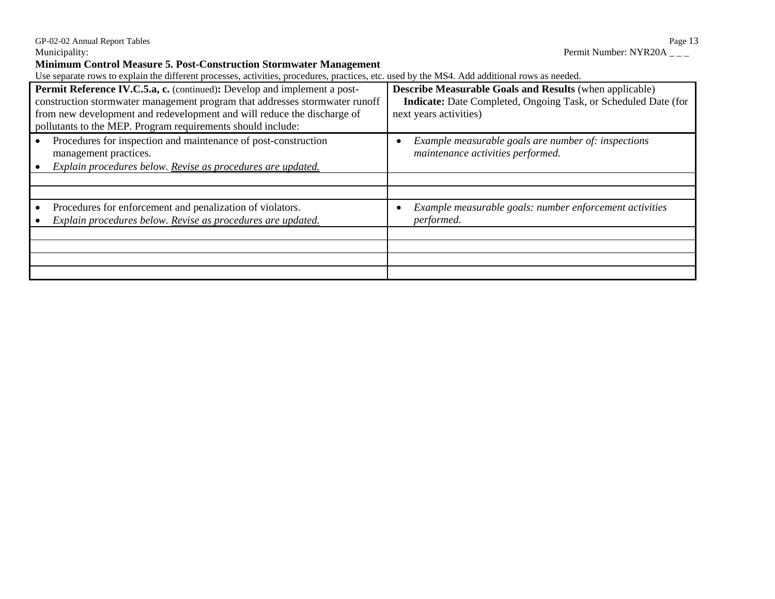GP-02-02 Annual Report Tables<br>
Municipality: Permit Number: NYR20A \_\_\_ Permit Number: NYR20A \_\_ Permit Number: NYR20A  $_{---}$ 

**Minimum Control Measure 5. Post-Construction Stormwater Management** 

| Permit Reference IV.C.5.a, c. (continued): Develop and implement a post-<br>construction stormwater management program that addresses stormwater runoff<br>from new development and redevelopment and will reduce the discharge of<br>pollutants to the MEP. Program requirements should include: | <b>Describe Measurable Goals and Results (when applicable)</b><br>Indicate: Date Completed, Ongoing Task, or Scheduled Date (for<br>next years activities) |
|---------------------------------------------------------------------------------------------------------------------------------------------------------------------------------------------------------------------------------------------------------------------------------------------------|------------------------------------------------------------------------------------------------------------------------------------------------------------|
| Procedures for inspection and maintenance of post-construction<br>management practices.<br>Explain procedures below. Revise as procedures are updated.                                                                                                                                            | Example measurable goals are number of: inspections<br>maintenance activities performed.                                                                   |
| Procedures for enforcement and penalization of violators.<br>Explain procedures below. Revise as procedures are updated.                                                                                                                                                                          | Example measurable goals: number enforcement activities<br>performed.                                                                                      |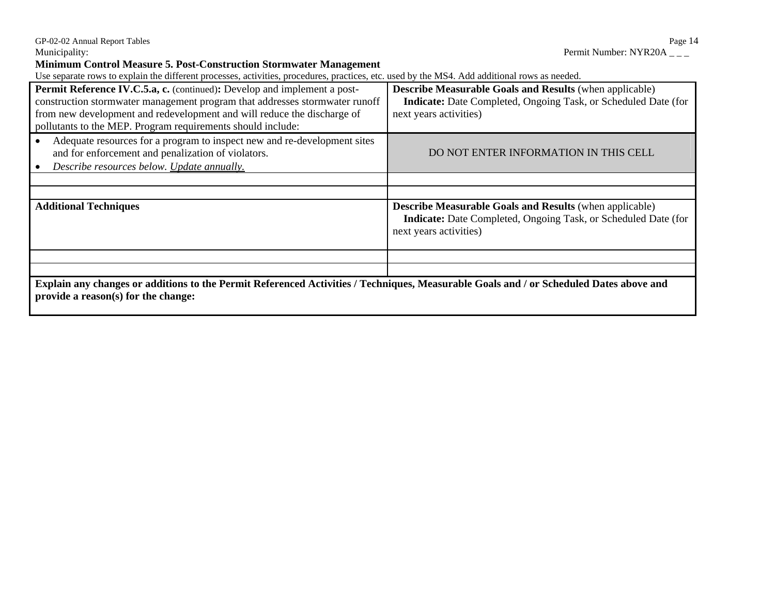**Minimum Control Measure 5. Post-Construction Stormwater Management** 

| Permit Reference IV.C.5.a, c. (continued): Develop and implement a post-<br>construction stormwater management program that addresses stormwater runoff<br>from new development and redevelopment and will reduce the discharge of<br>pollutants to the MEP. Program requirements should include: | <b>Describe Measurable Goals and Results (when applicable)</b><br>Indicate: Date Completed, Ongoing Task, or Scheduled Date (for<br>next years activities) |
|---------------------------------------------------------------------------------------------------------------------------------------------------------------------------------------------------------------------------------------------------------------------------------------------------|------------------------------------------------------------------------------------------------------------------------------------------------------------|
| Adequate resources for a program to inspect new and re-development sites<br>and for enforcement and penalization of violators.<br>Describe resources below. Update annually.                                                                                                                      | DO NOT ENTER INFORMATION IN THIS CELL                                                                                                                      |
|                                                                                                                                                                                                                                                                                                   |                                                                                                                                                            |
|                                                                                                                                                                                                                                                                                                   |                                                                                                                                                            |
| <b>Additional Techniques</b>                                                                                                                                                                                                                                                                      | <b>Describe Measurable Goals and Results (when applicable)</b><br>Indicate: Date Completed, Ongoing Task, or Scheduled Date (for<br>next years activities) |
|                                                                                                                                                                                                                                                                                                   |                                                                                                                                                            |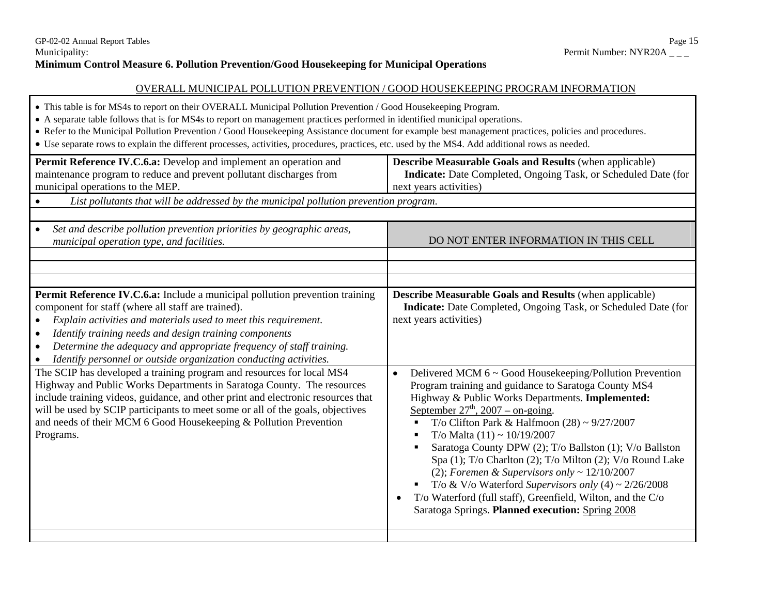#### OVERALL MUNICIPAL POLLUTION PREVENTION / GOOD HOUSEKEEPING PROGRAM INFORMATION

- This table is for MS4s to report on their OVERALL Municipal Pollution Prevention / Good Housekeeping Program.
- A separate table follows that is for MS4s to report on management practices performed in identified municipal operations.
- Refer to the Municipal Pollution Prevention / Good Housekeeping Assistance document for example best management practices, policies and procedures.
- Use separate rows to explain the different processes, activities, procedures, practices, etc. used by the MS4. Add additional rows as needed.

| Permit Reference IV.C.6.a: Develop and implement an operation and<br>maintenance program to reduce and prevent pollutant discharges from<br>municipal operations to the MEP.                                                                                                                                                                                                                                             | <b>Describe Measurable Goals and Results (when applicable)</b><br>Indicate: Date Completed, Ongoing Task, or Scheduled Date (for<br>next years activities)                                                                                                                                                                                                                                                                                                                                                                                                                                                                                                                                       |
|--------------------------------------------------------------------------------------------------------------------------------------------------------------------------------------------------------------------------------------------------------------------------------------------------------------------------------------------------------------------------------------------------------------------------|--------------------------------------------------------------------------------------------------------------------------------------------------------------------------------------------------------------------------------------------------------------------------------------------------------------------------------------------------------------------------------------------------------------------------------------------------------------------------------------------------------------------------------------------------------------------------------------------------------------------------------------------------------------------------------------------------|
| List pollutants that will be addressed by the municipal pollution prevention program.<br>$\bullet$                                                                                                                                                                                                                                                                                                                       |                                                                                                                                                                                                                                                                                                                                                                                                                                                                                                                                                                                                                                                                                                  |
|                                                                                                                                                                                                                                                                                                                                                                                                                          |                                                                                                                                                                                                                                                                                                                                                                                                                                                                                                                                                                                                                                                                                                  |
| Set and describe pollution prevention priorities by geographic areas,<br>$\bullet$<br>municipal operation type, and facilities.                                                                                                                                                                                                                                                                                          | DO NOT ENTER INFORMATION IN THIS CELL                                                                                                                                                                                                                                                                                                                                                                                                                                                                                                                                                                                                                                                            |
|                                                                                                                                                                                                                                                                                                                                                                                                                          |                                                                                                                                                                                                                                                                                                                                                                                                                                                                                                                                                                                                                                                                                                  |
|                                                                                                                                                                                                                                                                                                                                                                                                                          |                                                                                                                                                                                                                                                                                                                                                                                                                                                                                                                                                                                                                                                                                                  |
| Permit Reference IV.C.6.a: Include a municipal pollution prevention training<br>component for staff (where all staff are trained).<br>Explain activities and materials used to meet this requirement.<br>Identify training needs and design training components<br>$\bullet$<br>Determine the adequacy and appropriate frequency of staff training.<br>Identify personnel or outside organization conducting activities. | <b>Describe Measurable Goals and Results (when applicable)</b><br>Indicate: Date Completed, Ongoing Task, or Scheduled Date (for<br>next years activities)                                                                                                                                                                                                                                                                                                                                                                                                                                                                                                                                       |
| The SCIP has developed a training program and resources for local MS4<br>Highway and Public Works Departments in Saratoga County. The resources<br>include training videos, guidance, and other print and electronic resources that<br>will be used by SCIP participants to meet some or all of the goals, objectives<br>and needs of their MCM 6 Good Housekeeping & Pollution Prevention<br>Programs.                  | Delivered MCM 6 ~ Good Housekeeping/Pollution Prevention<br>$\bullet$<br>Program training and guidance to Saratoga County MS4<br>Highway & Public Works Departments. Implemented:<br>September $27th$ , 2007 – on-going.<br>T/o Clifton Park & Halfmoon $(28) \sim 9/27/2007$<br>T/o Malta $(11) \sim 10/19/2007$<br>п<br>Saratoga County DPW (2); T/o Ballston (1); V/o Ballston<br>Spa (1); T/o Charlton (2); T/o Milton (2); V/o Round Lake<br>(2); Foremen & Supervisors only $\sim 12/10/2007$<br>T/o & V/o Waterford Supervisors only $(4) \sim 2/26/2008$<br>T/o Waterford (full staff), Greenfield, Wilton, and the C/o<br>$\bullet$<br>Saratoga Springs. Planned execution: Spring 2008 |
|                                                                                                                                                                                                                                                                                                                                                                                                                          |                                                                                                                                                                                                                                                                                                                                                                                                                                                                                                                                                                                                                                                                                                  |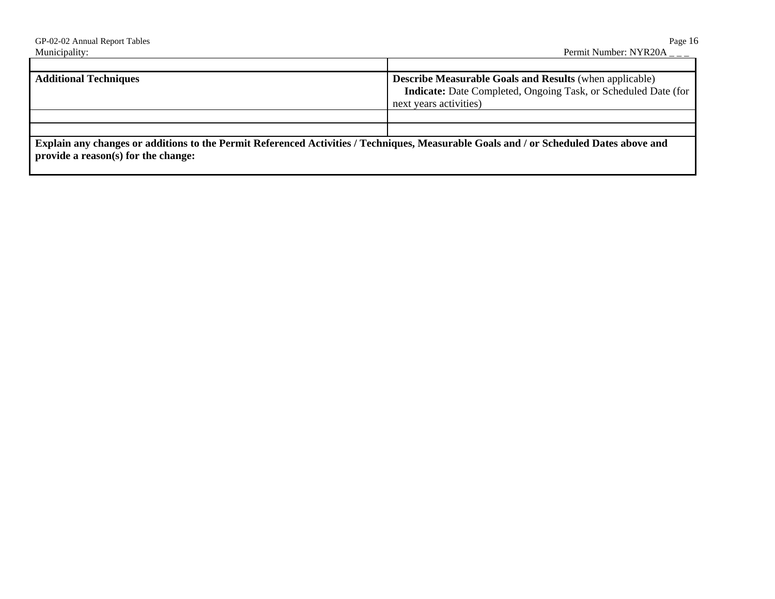| GP-02-02 Annual Report Tables                                                                                                                                                 | Page 16                                                               |
|-------------------------------------------------------------------------------------------------------------------------------------------------------------------------------|-----------------------------------------------------------------------|
| Municipality:                                                                                                                                                                 | Permit Number: $NYR20A_{--}$                                          |
|                                                                                                                                                                               |                                                                       |
| <b>Additional Techniques</b>                                                                                                                                                  | <b>Describe Measurable Goals and Results</b> (when applicable)        |
|                                                                                                                                                                               | <b>Indicate:</b> Date Completed, Ongoing Task, or Scheduled Date (for |
|                                                                                                                                                                               | next years activities)                                                |
|                                                                                                                                                                               |                                                                       |
|                                                                                                                                                                               |                                                                       |
| Explain any changes or additions to the Permit Referenced Activities / Techniques, Measurable Goals and / or Scheduled Dates above and<br>provide a reason(s) for the change: |                                                                       |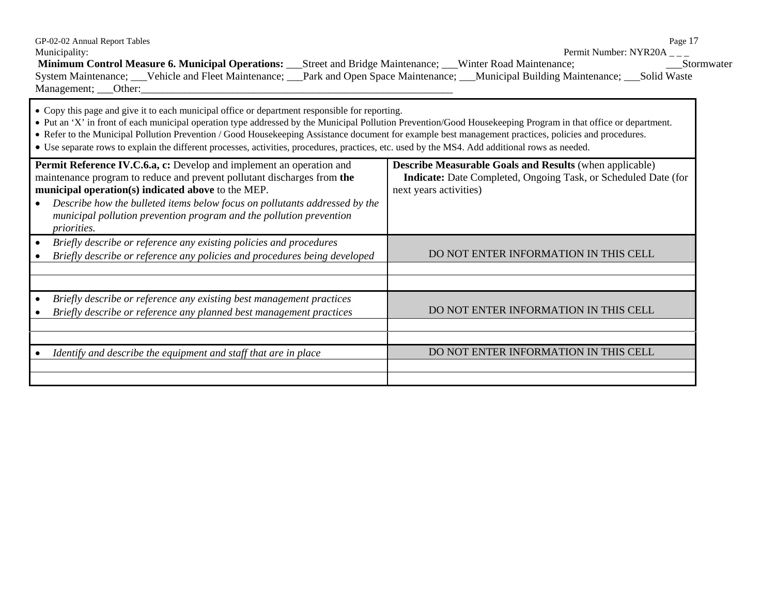| GP-02-02 Annual Report Tables<br>Municipality:                                                                                                                                                                                                                                                                                                                                                                                                                                                                                                                               | Page 17<br>Permit Number: NYR20A $_{--}$                                                                                                                   |
|------------------------------------------------------------------------------------------------------------------------------------------------------------------------------------------------------------------------------------------------------------------------------------------------------------------------------------------------------------------------------------------------------------------------------------------------------------------------------------------------------------------------------------------------------------------------------|------------------------------------------------------------------------------------------------------------------------------------------------------------|
| Minimum Control Measure 6. Municipal Operations: ____Street and Bridge Maintenance; ____Winter Road Maintenance;<br>System Maintenance; __Vehicle and Fleet Maintenance; __Park and Open Space Maintenance; __Municipal Building Maintenance; __Solid Waste                                                                                                                                                                                                                                                                                                                  | Stormwater                                                                                                                                                 |
| • Copy this page and give it to each municipal office or department responsible for reporting.<br>• Put an 'X' in front of each municipal operation type addressed by the Municipal Pollution Prevention/Good Housekeeping Program in that office or department.<br>• Refer to the Municipal Pollution Prevention / Good Housekeeping Assistance document for example best management practices, policies and procedures.<br>• Use separate rows to explain the different processes, activities, procedures, practices, etc. used by the MS4. Add additional rows as needed. |                                                                                                                                                            |
| <b>Permit Reference IV.C.6.a, c:</b> Develop and implement an operation and<br>maintenance program to reduce and prevent pollutant discharges from the<br>municipal operation(s) indicated above to the MEP.<br>Describe how the bulleted items below focus on pollutants addressed by the<br>$\bullet$<br>municipal pollution prevention program and the pollution prevention<br><i>priorities.</i>                                                                                                                                                                         | <b>Describe Measurable Goals and Results (when applicable)</b><br>Indicate: Date Completed, Ongoing Task, or Scheduled Date (for<br>next years activities) |
| Briefly describe or reference any existing policies and procedures<br>$\bullet$<br>Briefly describe or reference any policies and procedures being developed                                                                                                                                                                                                                                                                                                                                                                                                                 | DO NOT ENTER INFORMATION IN THIS CELL                                                                                                                      |
| Briefly describe or reference any existing best management practices<br>$\bullet$<br>Briefly describe or reference any planned best management practices                                                                                                                                                                                                                                                                                                                                                                                                                     | DO NOT ENTER INFORMATION IN THIS CELL                                                                                                                      |
| Identify and describe the equipment and staff that are in place                                                                                                                                                                                                                                                                                                                                                                                                                                                                                                              | DO NOT ENTER INFORMATION IN THIS CELL                                                                                                                      |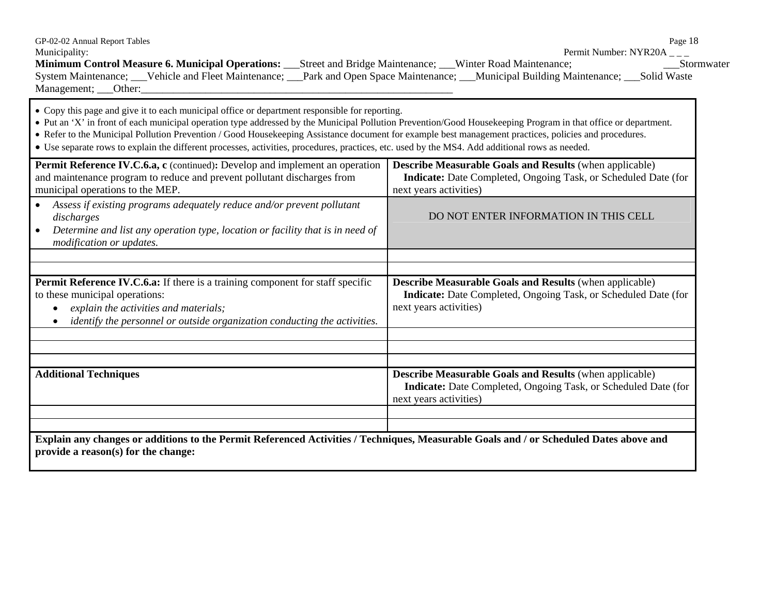| GP-02-02 Annual Report Tables<br>Municipality:                                                                                                                                                                                                                                                                                                                                                                                                                                                                                                                               | Page 18<br>Permit Number: NYR20A $_{--}$                                                                                                                   |
|------------------------------------------------------------------------------------------------------------------------------------------------------------------------------------------------------------------------------------------------------------------------------------------------------------------------------------------------------------------------------------------------------------------------------------------------------------------------------------------------------------------------------------------------------------------------------|------------------------------------------------------------------------------------------------------------------------------------------------------------|
| <b>Minimum Control Measure 6. Municipal Operations:</b> Street and Bridge Maintenance; Winter Road Maintenance;<br>System Maintenance; __Vehicle and Fleet Maintenance; __Park and Open Space Maintenance; __Municipal Building Maintenance; __Solid Waste                                                                                                                                                                                                                                                                                                                   | Stormwater                                                                                                                                                 |
| • Copy this page and give it to each municipal office or department responsible for reporting.<br>• Put an 'X' in front of each municipal operation type addressed by the Municipal Pollution Prevention/Good Housekeeping Program in that office or department.<br>• Refer to the Municipal Pollution Prevention / Good Housekeeping Assistance document for example best management practices, policies and procedures.<br>• Use separate rows to explain the different processes, activities, procedures, practices, etc. used by the MS4. Add additional rows as needed. |                                                                                                                                                            |
| Permit Reference IV.C.6.a, c (continued): Develop and implement an operation<br>and maintenance program to reduce and prevent pollutant discharges from<br>municipal operations to the MEP.                                                                                                                                                                                                                                                                                                                                                                                  | <b>Describe Measurable Goals and Results (when applicable)</b><br>Indicate: Date Completed, Ongoing Task, or Scheduled Date (for<br>next years activities) |
| Assess if existing programs adequately reduce and/or prevent pollutant<br>discharges<br>Determine and list any operation type, location or facility that is in need of<br>$\bullet$<br>modification or updates.                                                                                                                                                                                                                                                                                                                                                              | DO NOT ENTER INFORMATION IN THIS CELL                                                                                                                      |
| Permit Reference IV.C.6.a: If there is a training component for staff specific<br>to these municipal operations:<br>explain the activities and materials;<br>identify the personnel or outside organization conducting the activities.                                                                                                                                                                                                                                                                                                                                       | <b>Describe Measurable Goals and Results (when applicable)</b><br>Indicate: Date Completed, Ongoing Task, or Scheduled Date (for<br>next years activities) |
| <b>Additional Techniques</b>                                                                                                                                                                                                                                                                                                                                                                                                                                                                                                                                                 | <b>Describe Measurable Goals and Results (when applicable)</b><br>Indicate: Date Completed, Ongoing Task, or Scheduled Date (for<br>next years activities) |
| Explain any changes or additions to the Permit Referenced Activities / Techniques, Measurable Goals and / or Scheduled Dates above and<br>provide a reason(s) for the change:                                                                                                                                                                                                                                                                                                                                                                                                |                                                                                                                                                            |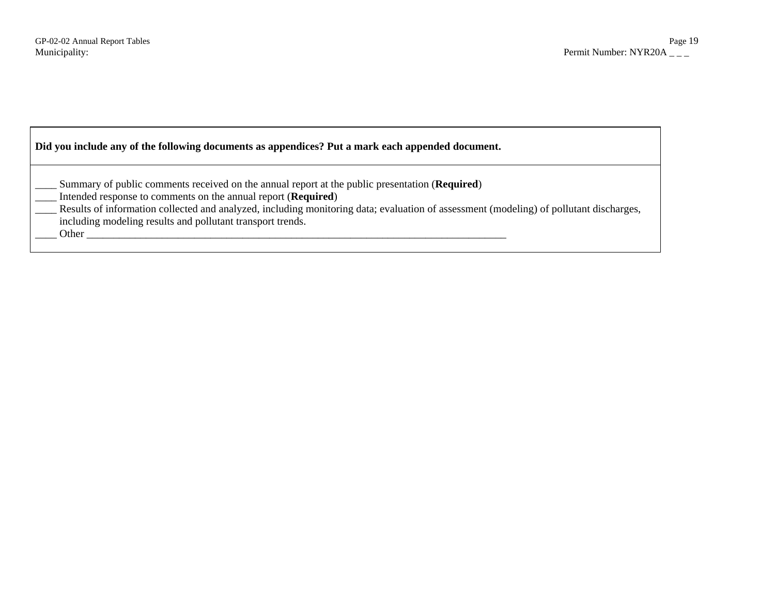| Did you include any of the following documents as appendices? Put a mark each appended document.                                                                                                                                                                                                                                                                                          |  |
|-------------------------------------------------------------------------------------------------------------------------------------------------------------------------------------------------------------------------------------------------------------------------------------------------------------------------------------------------------------------------------------------|--|
| Summary of public comments received on the annual report at the public presentation (Required)<br>Intended response to comments on the annual report ( <b>Required</b> )<br>Results of information collected and analyzed, including monitoring data; evaluation of assessment (modeling) of pollutant discharges,<br>including modeling results and pollutant transport trends.<br>Other |  |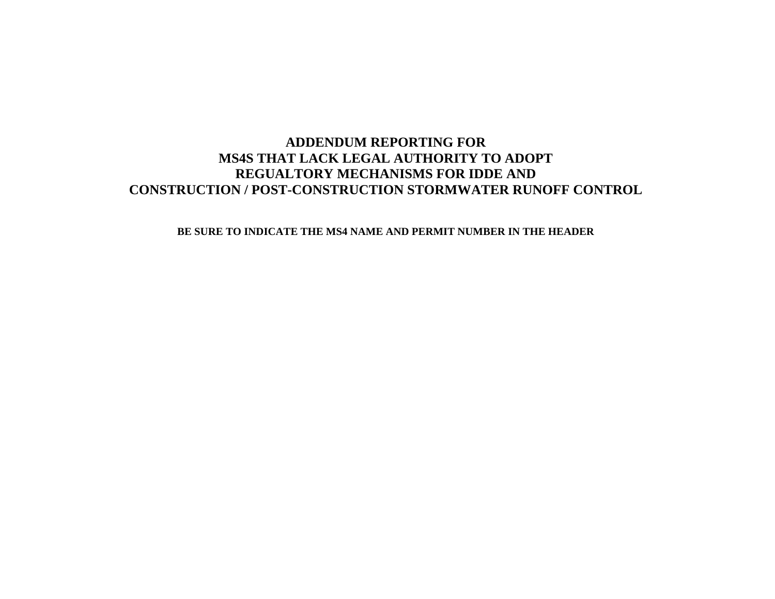# **ADDENDUM REPORTING FOR MS4S THAT LACK LEGAL AUTHORITY TO ADOPT REGUALTORY MECHANISMS FOR IDDE AND CONSTRUCTION / POST-CONSTRUCTION STORMWATER RUNOFF CONTROL**

#### **BE SURE TO INDICATE THE MS4 NAME AND PERMIT NUMBER IN THE HEADER**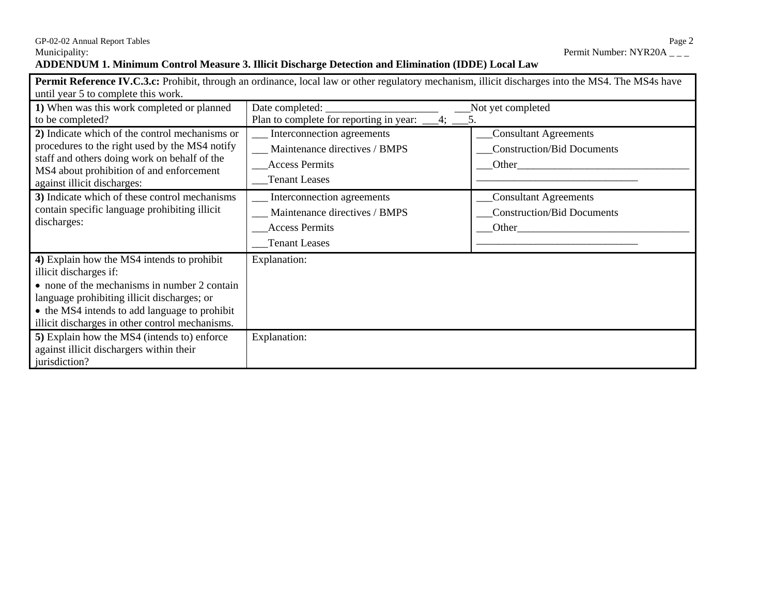#### **ADDENDUM 1. Minimum Control Measure 3. Illicit Discharge Detection and Elimination (IDDE) Local Law**   $\blacksquare$

|                                                                         | <b>Permit Reference IV.C.3.c:</b> Prohibit, through an ordinance, local law or other regulatory mechanism, illicit discharges into the MS4. The MS4s have |                                   |
|-------------------------------------------------------------------------|-----------------------------------------------------------------------------------------------------------------------------------------------------------|-----------------------------------|
| until year 5 to complete this work.                                     |                                                                                                                                                           |                                   |
| 1) When was this work completed or planned                              | Date completed:                                                                                                                                           | Not yet completed                 |
| to be completed?                                                        | Plan to complete for reporting in year:                                                                                                                   |                                   |
| 2) Indicate which of the control mechanisms or                          | Interconnection agreements                                                                                                                                | <b>Consultant Agreements</b>      |
| procedures to the right used by the MS4 notify                          | Maintenance directives / BMPS                                                                                                                             | <b>Construction/Bid Documents</b> |
| staff and others doing work on behalf of the                            | <b>Access Permits</b>                                                                                                                                     | Other                             |
| MS4 about prohibition of and enforcement<br>against illicit discharges: | <b>Tenant Leases</b>                                                                                                                                      |                                   |
| 3) Indicate which of these control mechanisms                           | Interconnection agreements                                                                                                                                | <b>Consultant Agreements</b>      |
| contain specific language prohibiting illicit                           | Maintenance directives / BMPS                                                                                                                             | Construction/Bid Documents        |
| discharges:                                                             | <b>Access Permits</b>                                                                                                                                     | Other                             |
|                                                                         | <b>Tenant Leases</b>                                                                                                                                      |                                   |
| 4) Explain how the MS4 intends to prohibit                              | Explanation:                                                                                                                                              |                                   |
| illicit discharges if:                                                  |                                                                                                                                                           |                                   |
| • none of the mechanisms in number 2 contain                            |                                                                                                                                                           |                                   |
| language prohibiting illicit discharges; or                             |                                                                                                                                                           |                                   |
| • the MS4 intends to add language to prohibit                           |                                                                                                                                                           |                                   |
| illicit discharges in other control mechanisms.                         |                                                                                                                                                           |                                   |
| 5) Explain how the MS4 (intends to) enforce                             | Explanation:                                                                                                                                              |                                   |
| against illicit dischargers within their                                |                                                                                                                                                           |                                   |
| jurisdiction?                                                           |                                                                                                                                                           |                                   |